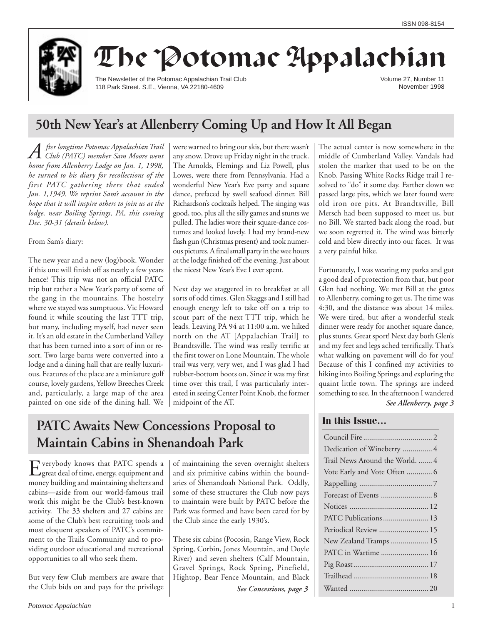

# The Potomac Appalachian

The Newsletter of the Potomac Appalachian Trail Club 118 Park Street. S.E., Vienna, VA 22180-4609

Volume 27, Number 11 November 1998

# **50th New Year's at Allenberry Coming Up and How It All Began**

*A fter longtime Potomac Appalachian Trail Club (PATC) member Sam Moore went home from Allenberry Lodge on Jan. 1, 1998, he turned to his diary for recollections of the first PATC gathering there that ended Jan. 1,1949. We reprint Sam's account in the hope that it will inspire others to join us at the lodge, near Boiling Springs, PA, this coming Dec. 30-31 (details below).*

From Sam's diary:

The new year and a new (log)book. Wonder if this one will finish off as neatly a few years hence? This trip was not an official PATC trip but rather a New Year's party of some of the gang in the mountains. The hostelry where we stayed was sumptuous. Vic Howard found it while scouting the last TTT trip, but many, including myself, had never seen it. It's an old estate in the Cumberland Valley that has been turned into a sort of inn or resort. Two large barns were converted into a lodge and a dining hall that are really luxurious. Features of the place are a miniature golf course, lovely gardens, Yellow Breeches Creek and, particularly, a large map of the area painted on one side of the dining hall. We

were warned to bring our skis, but there wasn't any snow. Drove up Friday night in the truck. The Arnolds, Flemings and Liz Powell, plus Lowes, were there from Pennsylvania. Had a wonderful New Year's Eve party and square dance, prefaced by swell seafood dinner. Bill Richardson's cocktails helped. The singing was good, too, plus all the silly games and stunts we pulled. The ladies wore their square-dance costumes and looked lovely. I had my brand-new flash gun (Christmas present) and took numerous pictures. A final small party in the wee hours at the lodge finished off the evening. Just about the nicest New Year's Eve I ever spent.

Next day we staggered in to breakfast at all sorts of odd times. Glen Skaggs and I still had enough energy left to take off on a trip to scout part of the next TTT trip, which he leads. Leaving PA 94 at 11:00 a.m. we hiked north on the AT [Appalachian Trail] to Brandtsville. The wind was really terrific at the first tower on Lone Mountain. The whole trail was very, very wet, and I was glad I had rubber-bottom boots on. Since it was my first time over this trail, I was particularly interested in seeing Center Point Knob, the former midpoint of the AT.

# **PATC Awaits New Concessions Proposal to Maintain Cabins in Shenandoah Park**

Everybody knows that PATC spends a great deal of time, energy, equipment and money building and maintaining shelters and cabins—aside from our world-famous trail work this might be the Club's best-known activity. The 33 shelters and 27 cabins are some of the Club's best recruiting tools and most eloquent speakers of PATC's commitment to the Trails Community and to providing outdoor educational and recreational opportunities to all who seek them.

But very few Club members are aware that the Club bids on and pays for the privilege

of maintaining the seven overnight shelters and six primitive cabins within the boundaries of Shenandoah National Park. Oddly, some of these structures the Club now pays to maintain were built by PATC before the Park was formed and have been cared for by the Club since the early 1930's.

These six cabins (Pocosin, Range View, Rock Spring, Corbin, Jones Mountain, and Doyle River) and seven shelters (Calf Mountain, Gravel Springs, Rock Spring, Pinefield, Hightop, Bear Fence Mountain, and Black

*See Concessions, page 3*

The actual center is now somewhere in the middle of Cumberland Valley. Vandals had stolen the marker that used to be on the Knob. Passing White Rocks Ridge trail I resolved to "do" it some day. Farther down we passed large pits, which we later found were old iron ore pits. At Brandtsville, Bill Mersch had been supposed to meet us, but no Bill. We started back along the road, but we soon regretted it. The wind was bitterly cold and blew directly into our faces. It was a very painful hike.

Fortunately, I was wearing my parka and got a good deal of protection from that, but poor Glen had nothing. We met Bill at the gates to Allenberry, coming to get us. The time was 4:30, and the distance was about 14 miles. We were tired, but after a wonderful steak dinner were ready for another square dance, plus stunts. Great sport! Next day both Glen's and my feet and legs ached terrifically. That's what walking on pavement will do for you! Because of this I confined my activities to hiking into Boiling Springs and exploring the quaint little town. The springs are indeed something to see. In the afternoon I wandered

#### *See Allenberry, page 3*

### **In this Issue…**

| Dedication of Wineberry  4      |
|---------------------------------|
| Trail News Around the World.  4 |
| Vote Early and Vote Often  6    |
|                                 |
|                                 |
|                                 |
| PATC Publications 13            |
| Periodical Review  15           |
| New Zealand Tramps  15          |
| PATC in Wartime  16             |
|                                 |
|                                 |
|                                 |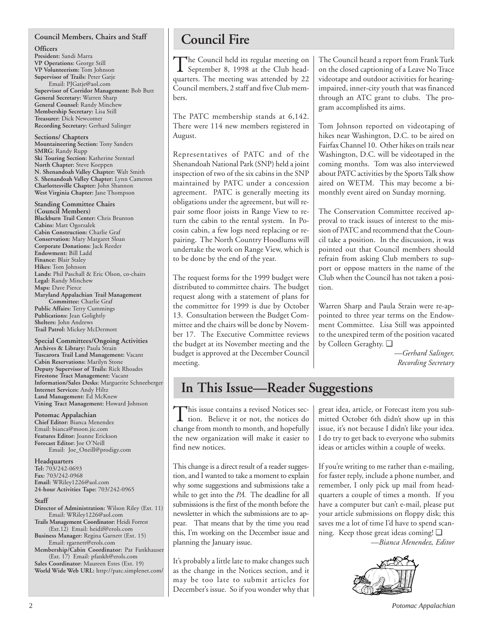### **Council Members, Chairs and Staff**

**Officers**

**President:** Sandi Marra **VP Operations:** George Still **VP Volunteerism:** Tom Johnson **Supervisor of Trails:** Peter Gatje Email: PJGatje@aol.com **Supervisor of Corridor Management:** Bob Butt **General Secretary:** Warren Sharp **General Counsel:** Randy Minchew **Membership Secretary:** Lisa Still **Treasurer:** Dick Newcomer **Recording Secretary:** Gerhard Salinger

**Sections/ Chapters Mountaineering Section:** Tony Sanders **SMRG:** Randy Rupp **Ski Touring Section:** Katherine Stentzel **North Chapter:** Steve Koeppen **N. Shenandoah Valley Chapter:** Walt Smith **S. Shenandoah Valley Chapter:** Lynn Cameron **Charlottesville Chapter:** John Shannon **West Virginia Chapter:** Jane Thompson

**Standing Committee Chairs (Council Members) Blackburn Trail Center:** Chris Brunton **Cabins:** Matt Ogorzalek **Cabin Construction:** Charlie Graf **Conservation:** Mary Margaret Sloan **Corporate Donations:** Jack Reeder **Endowment:** Bill Ladd **Finance:** Blair Staley **Hikes:** Tom Johnson **Lands:** Phil Paschall & Eric Olson, co-chairs **Legal:** Randy Minchew **Maps:** Dave Pierce **Maryland Appalachian Trail Management Committee:** Charlie Graf **Public Affairs:** Terry Cummings **Publications:** Jean Golightly **Shelters:** John Andrews **Trail Patrol:** Mickey McDermott

**Special Committees/Ongoing Activities Archives & Library:** Paula Strain **Tuscarora Trail Land Management:** Vacant **Cabin Reservations:** Marilyn Stone **Deputy Supervisor of Trails:** Rick Rhoades **Firestone Tract Management:** Vacant **Information/Sales Desks:** Marguerite Schneeberger **Internet Services:** Andy Hiltz **Land Management:** Ed McKnew **Vining Tract Management:** Howard Johnson

### **Potomac Appalachian**

**Chief Editor:** Bianca Menendez Email: bianca@moon.jic.com **Features Editor:** Joanne Erickson **Forecast Editor:** Joe O'Neill Email: Joe\_Oneill@prodigy.com

**Headquarters Tel:** 703/242-0693 **Fax:** 703/242-0968 **Email:** WRiley1226@aol.com **24-hour Activities Tape:** 703/242-0965

#### **Staff**

- **Director of Administration:** Wilson Riley (Ext. 11) Email: WRiley1226@aol.com **Trails Management Coordinator:** Heidi Forrest
- (Ext.12) Email: heidif@erols.com **Business Manager:** Regina Garnett (Ext. 15)

Email: rgarnett@erols.com **Membership/Cabin Coordinator:** Pat Fankhauser (Ext. 17) Email: pfankh@erols.com **Sales Coordinator:** Maureen Estes (Ext. 19)

**World Wide Web URL:** http://patc.simplenet.com/

# **Council Fire**

The Council held its regular meeting on<br>September 8, 1998 at the Club headquarters. The meeting was attended by 22 Council members, 2 staff and five Club members.

The PATC membership stands at 6,142. There were 114 new members registered in August.

Representatives of PATC and of the Shenandoah National Park (SNP) held a joint inspection of two of the six cabins in the SNP maintained by PATC under a concession agreement. PATC is generally meeting its obligations under the agreement, but will repair some floor joists in Range View to return the cabin to the rental system. In Pocosin cabin, a few logs need replacing or repairing. The North Country Hoodlums will undertake the work on Range View, which is to be done by the end of the year.

The request forms for the 1999 budget were distributed to committee chairs. The budget request along with a statement of plans for the committee for 1999 is due by October 13. Consultation between the Budget Committee and the chairs will be done by November 17. The Executive Committee reviews the budget at its November meeting and the budget is approved at the December Council meeting.

The Council heard a report from Frank Turk on the closed captioning of a Leave No Trace videotape and outdoor activities for hearingimpaired, inner-city youth that was financed through an ATC grant to clubs. The program accomplished its aims.

Tom Johnson reported on videotaping of hikes near Washington, D.C. to be aired on Fairfax Channel 10. Other hikes on trails near Washington, D.C. will be videotaped in the coming months. Tom was also interviewed about PATC activities by the Sports Talk show aired on WETM. This may become a bimonthly event aired on Sunday morning.

The Conservation Committee received approval to track issues of interest to the mission of PATC and recommend that the Council take a position. In the discussion, it was pointed out that Council members should refrain from asking Club members to support or oppose matters in the name of the Club when the Council has not taken a position.

Warren Sharp and Paula Strain were re-appointed to three year terms on the Endowment Committee. Lisa Still was appointed to the unexpired term of the position vacated by Colleen Geraghty. ❑

> *—Gerhard Salinger, Recording Secretary*

# **In This Issue—Reader Suggestions**

This issue contains a revised Notices sec-tion. Believe it or not, the notices do change from month to month, and hopefully the new organization will make it easier to find new notices.

This change is a direct result of a reader suggestion, and I wanted to take a moment to explain why some suggestions and submissions take a while to get into the *PA.* The deadline for all submissions is the first of the month before the newsletter in which the submissions are to appear. That means that by the time you read this, I'm working on the December issue and planning the January issue.

It's probably a little late to make changes such as the change in the Notices section, and it may be too late to submit articles for December's issue. So if you wonder why that great idea, article, or Forecast item you submitted October 6th didn't show up in this issue, it's not because I didn't like your idea. I do try to get back to everyone who submits ideas or articles within a couple of weeks.

If you're writing to me rather than e-mailing, for faster reply, include a phone number, and remember, I only pick up mail from headquarters a couple of times a month. If you have a computer but can't e-mail, please put your article submissions on floppy disk; this saves me a lot of time I'd have to spend scanning. Keep those great ideas coming! ❑

*—Bianca Menendez, Editor*

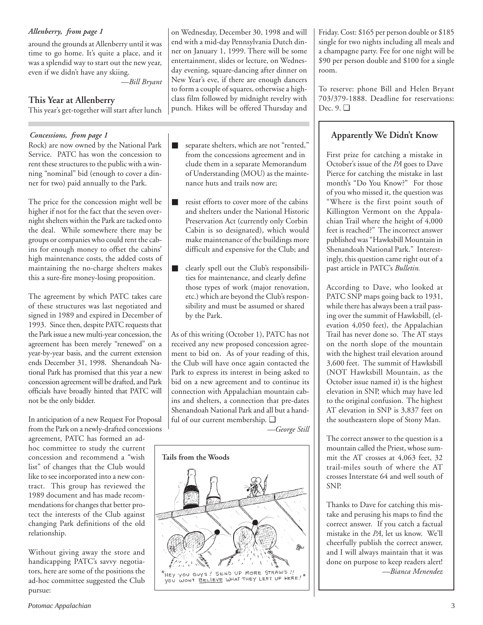*Allenberry, from page 1*

around the grounds at Allenberry until it was time to go home. It's quite a place, and it was a splendid way to start out the new year, even if we didn't have any skiing.

*—Bill Bryant*

### **This Year at Allenberry**

This year's get-together will start after lunch

### *Concessions, from page 1*

Rock) are now owned by the National Park Service. PATC has won the concession to rent these structures to the public with a winning "nominal" bid (enough to cover a dinner for two) paid annually to the Park.

The price for the concession might well be higher if not for the fact that the seven overnight shelters within the Park are tacked onto the deal. While somewhere there may be groups or companies who could rent the cabins for enough money to offset the cabins' high maintenance costs, the added costs of maintaining the no-charge shelters makes this a sure-fire money-losing proposition.

The agreement by which PATC takes care of these structures was last negotiated and signed in 1989 and expired in December of 1993. Since then, despite PATC requests that the Park issue a new multi-year concession, the agreement has been merely "renewed" on a year-by-year basis, and the current extension ends December 31, 1998. Shenandoah National Park has promised that this year a new concession agreement will be drafted, and Park officials have broadly hinted that PATC will not be the only bidder.

In anticipation of a new Request For Proposal from the Park on a newly-drafted concessions

agreement, PATC has formed an adhoc committee to study the current concession and recommend a "wish list" of changes that the Club would like to see incorporated into a new contract. This group has reviewed the 1989 document and has made recommendations for changes that better protect the interests of the Club against changing Park definitions of the old relationship.

Without giving away the store and handicapping PATC's savvy negotiators, here are some of the positions the ad-hoc committee suggested the Club pursue:

on Wednesday, December 30, 1998 and will end with a mid-day Pennsylvania Dutch dinner on January 1, 1999. There will be some entertainment, slides or lecture, on Wednesday evening, square-dancing after dinner on New Year's eve, if there are enough dancers to form a couple of squares, otherwise a highclass film followed by midnight revelry with punch. Hikes will be offered Thursday and

- separate shelters, which are not "rented," from the concessions agreement and in clude them in a separate Memorandum of Understanding (MOU) as the maintenance huts and trails now are;
- resist efforts to cover more of the cabins and shelters under the National Historic Preservation Act (currently only Corbin Cabin is so designated), which would make maintenance of the buildings more difficult and expensive for the Club; and
- clearly spell out the Club's responsibilities for maintenance, and clearly define those types of work (major renovation, etc.) which are beyond the Club's responsibility and must be assumed or shared by the Park.

As of this writing (October 1), PATC has not received any new proposed concession agreement to bid on. As of your reading of this, the Club will have once again contacted the Park to express its interest in being asked to bid on a new agreement and to continue its connection with Appalachian mountain cabins and shelters, a connection that pre-dates Shenandoah National Park and all but a handful of our current membership. ❑

*—George Still*



Friday. Cost: \$165 per person double or \$185 single for two nights including all meals and a champagne party. Fee for one night will be \$90 per person double and \$100 for a single room.

To reserve: phone Bill and Helen Bryant 703/379-1888. Deadline for reservations: Dec. 9. ❑

# **Apparently We Didn't Know**

First prize for catching a mistake in October's issue of the *PA* goes to Dave Pierce for catching the mistake in last month's "Do You Know?" For those of you who missed it, the question was "Where is the first point south of Killington Vermont on the Appalachian Trail where the height of 4,000 feet is reached?" The incorrect answer published was "Hawksbill Mountain in Shenandoah National Park." Interestingly, this question came right out of a past article in PATC's *Bulletin.*

According to Dave, who looked at PATC SNP maps going back to 1931, while there has always been a trail passing over the summit of Hawksbill, (elevation 4,050 feet), the Appalachian Trail has never done so. The AT stays on the north slope of the mountain with the highest trail elevation around 3,600 feet. The summit of Hawksbill (NOT Hawksbill Mountain, as the October issue named it) is the highest elevation in SNP, which may have led to the original confusion. The highest AT elevation in SNP is 3,837 feet on the southeastern slope of Stony Man.

The correct answer to the question is a mountain called the Priest, whose summit the AT crosses at 4,063 feet, 32 trail-miles south of where the AT crosses Interstate 64 and well south of SNP.

Thanks to Dave for catching this mistake and perusing his maps to find the correct answer. If you catch a factual mistake in the *PA*, let us know. We'll cheerfully publish the correct answer, and I will always maintain that it was done on purpose to keep readers alert! *—Bianca Menendez*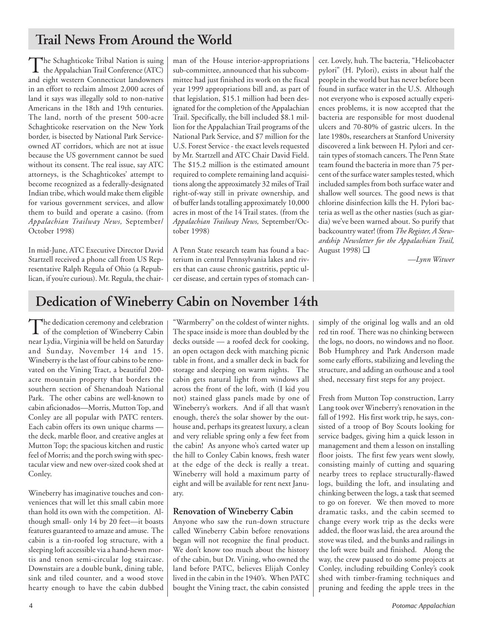# **Trail News From Around the World**

The Schaghticoke Tribal Nation is suing the Appalachian Trail Conference (ATC) and eight western Connecticut landowners in an effort to reclaim almost 2,000 acres of land it says was illegally sold to non-native Americans in the 18th and 19th centuries. The land, north of the present 500-acre Schaghticoke reservation on the New York border, is bisected by National Park Serviceowned AT corridors, which are not at issue because the US government cannot be sued without its consent. The real issue, say ATC attorneys, is the Schaghticokes' attempt to become recognized as a federally-designated Indian tribe, which would make them eligible for various government services, and allow them to build and operate a casino. (from *Appalachian Trailway News,* September/ October 1998)

In mid-June, ATC Executive Director David Startzell received a phone call from US Representative Ralph Regula of Ohio (a Republican, if you're curious). Mr. Regula, the chair-

man of the House interior-appropriations sub-committee, announced that his subcommittee had just finished its work on the fiscal year 1999 appropriations bill and, as part of that legislation, \$15.1 million had been designated for the completion of the Appalachian Trail. Specifically, the bill included \$8.1 million for the Appalachian Trail programs of the National Park Service, and \$7 million for the U.S. Forest Service - the exact levels requested by Mr. Startzell and ATC Chair David Field. The \$15.2 million is the estimated amount required to complete remaining land acquisitions along the approximately 32 miles of Trail right-of-way still in private ownership, and of buffer lands totalling approximately 10,000 acres in most of the 14 Trail states. (from the *Appalachian Trailway News,* September/October 1998)

A Penn State research team has found a bacterium in central Pennsylvania lakes and rivers that can cause chronic gastritis, peptic ulcer disease, and certain types of stomach cancer. Lovely, huh. The bacteria, "Helicobacter pylori" (H. Pylori), exists in about half the people in the world but has never before been found in surface water in the U.S. Although not everyone who is exposed actually experiences problems, it is now accepted that the bacteria are responsible for most duodenal ulcers and 70-80% of gastric ulcers. In the late 1980s, researchers at Stanford University discovered a link between H. Pylori and certain types of stomach cancers. The Penn State team found the bacteria in more than 75 percent of the surface water samples tested, which included samples from both surface water and shallow well sources. The good news is that chlorine disinfection kills the H. Pylori bacteria as well as the other nasties (such as giardia) we've been warned about. So purify that backcountry water! (from *The Register, A Stewardship Newsletter for the Appalachian Trail,* August 1998) ❑

*—Lynn Witwer*

# **Dedication of Wineberry Cabin on November 14th**

The dedication ceremony and celebration<br>of the completion of Wineberry Cabin<br> $\frac{1}{2}$ near Lydia, Virginia will be held on Saturday and Sunday, November 14 and 15. Wineberry is the last of four cabins to be renovated on the Vining Tract, a beautiful 200 acre mountain property that borders the southern section of Shenandoah National Park. The other cabins are well-known to cabin aficionados—Morris, Mutton Top, and Conley are all popular with PATC renters. Each cabin offers its own unique charms the deck, marble floor, and creative angles at Mutton Top; the spacious kitchen and rustic feel of Morris; and the porch swing with spectacular view and new over-sized cook shed at Conley.

Wineberry has imaginative touches and conveniences that will let this small cabin more than hold its own with the competition. Although small- only 14 by 20 feet—it boasts features guaranteed to amaze and amuse. The cabin is a tin-roofed log structure, with a sleeping loft accessible via a hand-hewn mortis and tenon semi-circular log staircase. Downstairs are a double bunk, dining table, sink and tiled counter, and a wood stove hearty enough to have the cabin dubbed "Warmberry" on the coldest of winter nights. The space inside is more than doubled by the decks outside — a roofed deck for cooking, an open octagon deck with matching picnic table in front, and a smaller deck in back for storage and sleeping on warm nights. The cabin gets natural light from windows all across the front of the loft, with (I kid you not) stained glass panels made by one of Wineberry's workers. And if all that wasn't enough, there's the solar shower by the outhouse and, perhaps its greatest luxury, a clean and very reliable spring only a few feet from the cabin! As anyone who's carted water up the hill to Conley Cabin knows, fresh water at the edge of the deck is really a treat. Wineberry will hold a maximum party of eight and will be available for rent next January.

### **Renovation of Wineberry Cabin**

Anyone who saw the run-down structure called Wineberry Cabin before renovations began will not recognize the final product. We don't know too much about the history of the cabin, but Dr. Vining, who owned the land before PATC, believes Elijah Conley lived in the cabin in the 1940's. When PATC bought the Vining tract, the cabin consisted simply of the original log walls and an old red tin roof. There was no chinking between the logs, no doors, no windows and no floor. Bob Humphrey and Park Anderson made some early efforts, stabilizing and leveling the structure, and adding an outhouse and a tool shed, necessary first steps for any project.

Fresh from Mutton Top construction, Larry Lang took over Wineberry's renovation in the fall of 1992. His first work trip, he says, consisted of a troop of Boy Scouts looking for service badges, giving him a quick lesson in management and them a lesson on installing floor joists. The first few years went slowly, consisting mainly of cutting and squaring nearby trees to replace structurally-flawed logs, building the loft, and insulating and chinking between the logs, a task that seemed to go on forever. We then moved to more dramatic tasks, and the cabin seemed to change every work trip as the decks were added, the floor was laid, the area around the stove was tiled, and the bunks and railings in the loft were built and finished. Along the way, the crew paused to do some projects at Conley, including rebuilding Conley's cook shed with timber-framing techniques and pruning and feeding the apple trees in the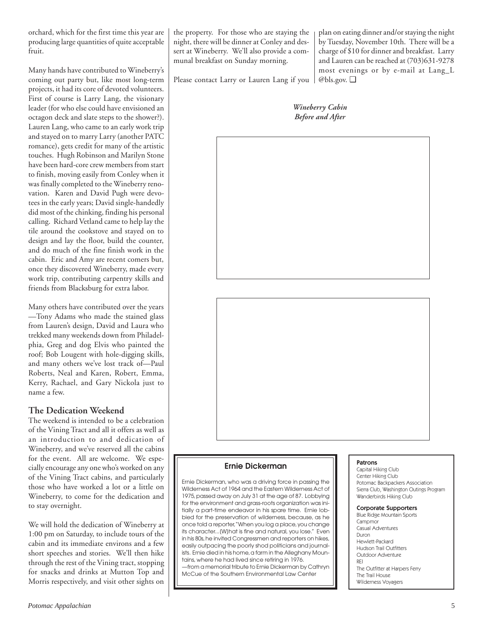orchard, which for the first time this year are producing large quantities of quite acceptable fruit.

Many hands have contributed to Wineberry's coming out party but, like most long-term projects, it had its core of devoted volunteers. First of course is Larry Lang, the visionary leader (for who else could have envisioned an octagon deck and slate steps to the shower?). Lauren Lang, who came to an early work trip and stayed on to marry Larry (another PATC romance), gets credit for many of the artistic touches. Hugh Robinson and Marilyn Stone have been hard-core crew members from start to finish, moving easily from Conley when it was finally completed to the Wineberry renovation. Karen and David Pugh were devotees in the early years; David single-handedly did most of the chinking, finding his personal calling. Richard Vetland came to help lay the tile around the cookstove and stayed on to design and lay the floor, build the counter, and do much of the fine finish work in the cabin. Eric and Amy are recent comers but, once they discovered Wineberry, made every work trip, contributing carpentry skills and friends from Blacksburg for extra labor.

Many others have contributed over the years —Tony Adams who made the stained glass from Lauren's design, David and Laura who trekked many weekends down from Philadelphia, Greg and dog Elvis who painted the roof; Bob Lougent with hole-digging skills, and many others we've lost track of—Paul Roberts, Neal and Karen, Robert, Emma, Kerry, Rachael, and Gary Nickola just to name a few.

### **The Dedication Weekend**

The weekend is intended to be a celebration of the Vining Tract and all it offers as well as an introduction to and dedication of Wineberry, and we've reserved all the cabins for the event. All are welcome. We especially encourage any one who's worked on any of the Vining Tract cabins, and particularly those who have worked a lot or a little on Wineberry, to come for the dedication and to stay overnight.

We will hold the dedication of Wineberry at 1:00 pm on Saturday, to include tours of the cabin and its immediate environs and a few short speeches and stories. We'll then hike through the rest of the Vining tract, stopping for snacks and drinks at Mutton Top and Morris respectively, and visit other sights on

the property. For those who are staying the night, there will be dinner at Conley and dessert at Wineberry. We'll also provide a communal breakfast on Sunday morning.

plan on eating dinner and/or staying the night by Tuesday, November 10th. There will be a charge of \$10 for dinner and breakfast. Larry and Lauren can be reached at (703)631-9278 most evenings or by e-mail at Lang\_L @bls.gov. ❑

Please contact Larry or Lauren Lang if you

*Wineberry Cabin Before and After*





### **Ernie Dickerman**

Ernie Dickerman, who was a driving force in passing the Wilderness Act of 1964 and the Eastern Wilderness Act of 1975, passed away on July 31 at the age of 87. Lobbying for the environment and grass-roots organization was initially a part-time endeavor in his spare time. Ernie lobbied for the preservation of wilderness, because, as he once told a reporter, "When you log a place, you change its character...[W]hat is fine and natural, you lose." Even in his 80s, he invited Congressmen and reporters on hikes, easily outpacing the poorly shod politicians and journalists. Ernie died in his home, a farm in the Alleghany Mountains, where he had lived since retiring in 1976.

—from a memorial tribute to Ernie Dickerman by Cathryn McCue of the Southern Environmental Law Center

#### Patrons

Capital Hiking Club Center Hiking Club Potomac Backpackers Association Sierra Club, Washington Outings Program Wanderbirds Hiking Club

#### Corporate Supporters Blue Ridge Mountain Sports

Campmor Casual Adventures Duron Hewlett-Packard Hudson Trail Outfitters Outdoor Adventure REI The Outfitter at Harpers Ferry The Trail House Wilderness Voyagers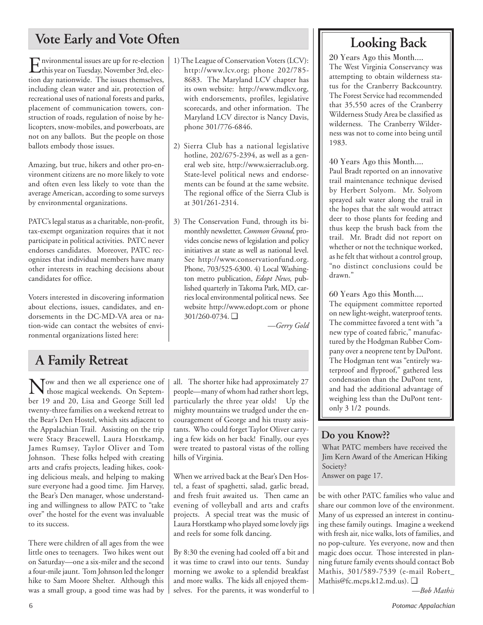# Vote Early and Vote Often<br> **Looking Back**

Environmental issues are up for re-election this year on Tuesday, November 3rd, election day nationwide. The issues themselves, including clean water and air, protection of recreational uses of national forests and parks, placement of communication towers, construction of roads, regulation of noise by helicopters, snow-mobiles, and powerboats, are not on any ballots. But the people on those ballots embody those issues.

Amazing, but true, hikers and other pro-environment citizens are no more likely to vote and often even less likely to vote than the average American, according to some surveys by environmental organizations.

PATC's legal status as a charitable, non-profit, tax-exempt organization requires that it not participate in political activities. PATC never endorses candidates. Moreover, PATC recognizes that individual members have many other interests in reaching decisions about candidates for office.

Voters interested in discovering information about elections, issues, candidates, and endorsements in the DC-MD-VA area or nation-wide can contact the websites of environmental organizations listed here:

# **A Family Retreat**

Now and then we all experience one of those magical weekends. On September 19 and 20, Lisa and George Still led twenty-three families on a weekend retreat to the Bear's Den Hostel, which sits adjacent to the Appalachian Trail. Assisting on the trip were Stacy Bracewell, Laura Horstkamp, James Rumsey, Taylor Oliver and Tom Johnson. These folks helped with creating arts and crafts projects, leading hikes, cooking delicious meals, and helping to making sure everyone had a good time. Jim Harvey, the Bear's Den manager, whose understanding and willingness to allow PATC to "take over" the hostel for the event was invaluable to its success.

There were children of all ages from the wee little ones to teenagers. Two hikes went out on Saturday—one a six-miler and the second a four-mile jaunt. Tom Johnson led the longer hike to Sam Moore Shelter. Although this was a small group, a good time was had by 1) The League of Conservation Voters (LCV): http://www.lcv.org; phone 202/785- 8683. The Maryland LCV chapter has its own website: http://www.mdlcv.org, with endorsements, profiles, legislative scorecards, and other information. The Maryland LCV director is Nancy Davis, phone 301/776-6846.

- 2) Sierra Club has a national legislative hotline, 202/675-2394, as well as a general web site, http://www.sierraclub.org. State-level political news and endorsements can be found at the same website. The regional office of the Sierra Club is at 301/261-2314.
- 3) The Conservation Fund, through its bimonthly newsletter, *Common Ground,* provides concise news of legislation and policy initiatives at state as well as national level. See http://www.conservationfund.org. Phone, 703/525-6300. 4) Local Washington metro publication, *Edopt News,* published quarterly in Takoma Park, MD, carries local environmental political news. See website http://www.edopt.com or phone 301/260-0734. ❑

*—Gerry Gold*

all. The shorter hike had approximately 27 people—many of whom had rather short legs, particularly the three year olds! Up the mighty mountains we trudged under the encouragement of George and his trusty assistants. Who could forget Taylor Oliver carrying a few kids on her back! Finally, our eyes were treated to pastoral vistas of the rolling hills of Virginia.

When we arrived back at the Bear's Den Hostel, a feast of spaghetti, salad, garlic bread, and fresh fruit awaited us. Then came an evening of volleyball and arts and crafts projects. A special treat was the music of Laura Horstkamp who played some lovely jigs and reels for some folk dancing.

By 8:30 the evening had cooled off a bit and it was time to crawl into our tents. Sunday morning we awoke to a splendid breakfast and more walks. The kids all enjoyed themselves. For the parents, it was wonderful to

20 Years Ago this Month.... The West Virginia Conservancy was attempting to obtain wilderness status for the Cranberry Backcountry. The Forest Service had recommended that 35,550 acres of the Cranberry Wilderness Study Area be classified as wilderness. The Cranberry Wilderness was not to come into being until 1983.

### 40 Years Ago this Month....

Paul Bradt reported on an innovative trail maintenance technique devised by Herbert Solyom. Mr. Solyom sprayed salt water along the trail in the hopes that the salt would attract deer to those plants for feeding and thus keep the brush back from the trail. Mr. Bradt did not report on whether or not the technique worked, as he felt that without a control group, "no distinct conclusions could be drawn."

# 60 Years Ago this Month....

The equipment committee reported on new light-weight, waterproof tents. The committee favored a tent with "a new type of coated fabric," manufactured by the Hodgman Rubber Company over a neoprene tent by DuPont. The Hodgman tent was "entirely waterproof and flyproof," gathered less condensation than the DuPont tent, and had the additional advantage of weighing less than the DuPont tentonly 3 1/2 pounds.

# **Do you Know??**

What PATC members have received the Jim Kern Award of the American Hiking Society?

Answer on page 17.

be with other PATC families who value and share our common love of the environment. Many of us expressed an interest in continuing these family outings. Imagine a weekend with fresh air, nice walks, lots of families, and no pop-culture. Yes everyone, now and then magic does occur. Those interested in planning future family events should contact Bob Mathis, 301/589-7539 (e-mail Robert\_ Mathis@fc.mcps.k12.md.us). ❑

*—Bob Mathis*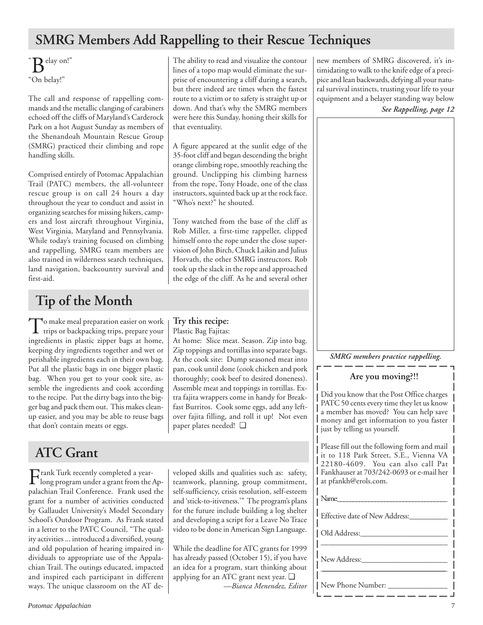# **SMRG Members Add Rappelling to their Rescue Techniques**

 $\sum_{\infty}^{\infty}$ elay on!" "On belay!"

The call and response of rappelling commands and the metallic clanging of carabiners echoed off the cliffs of Maryland's Carderock Park on a hot August Sunday as members of the Shenandoah Mountain Rescue Group (SMRG) practiced their climbing and rope handling skills.

Comprised entirely of Potomac Appalachian Trail (PATC) members, the all-volunteer rescue group is on call 24 hours a day throughout the year to conduct and assist in organizing searches for missing hikers, campers and lost aircraft throughout Virginia, West Virginia, Maryland and Pennsylvania. While today's training focused on climbing and rappelling, SMRG team members are also trained in wilderness search techniques, land navigation, backcountry survival and first-aid.

# **Tip of the Month**

To make meal preparation easier on work<br>trips or backpacking trips, prepare your ingredients in plastic zipper bags at home, keeping dry ingredients together and wet or perishable ingredients each in their own bag. Put all the plastic bags in one bigger plastic bag. When you get to your cook site, assemble the ingredients and cook according to the recipe. Put the dirty bags into the bigger bag and pack them out. This makes cleanup easier, and you may be able to reuse bags that don't contain meats or eggs.

# **ATC Grant**

Frank Turk recently completed a year-<br>long program under a grant from the Appalachian Trail Conference. Frank used the grant for a number of activities conducted by Gallaudet University's Model Secondary School's Outdoor Program. As Frank stated in a letter to the PATC Council, "The quality activities ... introduced a diversified, young and old population of hearing impaired individuals to appropriate use of the Appalachian Trail. The outings educated, impacted and inspired each participant in different ways. The unique classroom on the AT deThe ability to read and visualize the contour lines of a topo map would eliminate the surprise of encountering a cliff during a search, but there indeed are times when the fastest route to a victim or to safety is straight up or down. And that's why the SMRG members were here this Sunday, honing their skills for that eventuality.

A figure appeared at the sunlit edge of the 35-foot cliff and began descending the bright orange climbing rope, smoothly reaching the ground. Unclipping his climbing harness from the rope, Tony Hoade, one of the class instructors, squinted back up at the rock face. "Who's next?" he shouted.

Tony watched from the base of the cliff as Rob Miller, a first-time rappeller, clipped himself onto the rope under the close supervision of John Birch, Chuck Laikin and Julius Horvath, the other SMRG instructors. Rob took up the slack in the rope and approached the edge of the cliff. As he and several other

**Try this recipe:** Plastic Bag Fajitas:

At home: Slice meat. Season. Zip into bag. Zip toppings and tortillas into separate bags. At the cook site: Dump seasoned meat into pan, cook until done (cook chicken and pork thoroughly; cook beef to desired doneness). Assemble meat and toppings in tortillas. Extra fajita wrappers come in handy for Breakfast Burritos. Cook some eggs, add any leftover fajita filling, and roll it up! Not even paper plates needed! ❑

veloped skills and qualities such as: safety, teamwork, planning, group commitment, self-sufficiency, crisis resolution, self-esteem and 'stick-to-itiveness.'" The program's plans for the future include building a log shelter and developing a script for a Leave No Trace video to be done in American Sign Language.

While the deadline for ATC grants for 1999 has already passed (October 15), if you have an idea for a program, start thinking about applying for an ATC grant next year. ❑

*—Bianca Menendez, Editor*

new members of SMRG discovered, it's intimidating to walk to the knife edge of a precipice and lean backwards, defying all your natural survival instincts, trusting your life to your equipment and a belayer standing way below *See Rappelling, page 12*



### *SMRG members practice rappelling.*

### **Are you moving?!!**

Did you know that the Post Office charges PATC 50 cents every time they let us know a member has moved? You can help save money and get information to you faster just by telling us yourself.

Please fill out the following form and mail it to 118 Park Street, S.E., Vienna VA 22180-4609. You can also call Pat Fankhauser at 703/242-0693 or e-mail her at pfankh@erols.com.

| Name:                          |
|--------------------------------|
| Effective date of New Address: |
| Old Address:                   |
| New Address:                   |
| New Phone Number:              |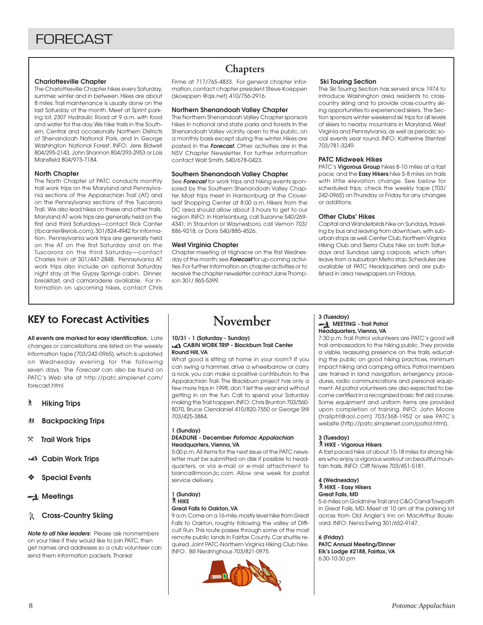#### **Charlottesville Chapter**

The Charlottesville Chapter hikes every Saturday, summer, winter and in between. Hikes are about 8 miles. Trail maintenance is usually done on the last Saturday of the month. Meet at Sprint parking lot, 2307 Hydraulic Road at 9 a.m. with food and water for the day. We hike trails in the Southern, Central and occasionally Northern Districts of Shenandoah National Park, and in George Washington National Forest. INFO: Jere Bidwell 804/295-2143, John Shannon 804/293-2953 or Lois Mansfield 804/973-7184.

#### **North Chapter**

The North Chapter of PATC conducts monthly trail work trips on the Maryland and Pennsylvania sections of the Appalachian Trail (AT) and on the Pennsylvania sections of the Tuscarora Trail. We also lead hikes on these and other trails. Maryland AT work trips are generally held on the first and third Saturdays—contact Rick Canter (rbcanter@erols.com), 301/824-4942 for information. Pennsylvania work trips are generally held on the AT on the first Saturday and on the Tuscarora on the third Saturday—contact Charles Irvin at 301/447-2848. Pennsylvania AT work trips also include an optional Saturday night stay at the Gypsy Springs cabin. Dinner, breakfast, and camaraderie available. For information on upcoming hikes, contact Chris

# **Chapters**

Firme at 717/765-4833. For general chapter information, contact chapter president Steve Koeppen (skoeppen @qis.net) 410/756-2916.

#### **Northern Shenandoah Valley Chapter**

The Northern Shenandoah Valley Chapter sponsors hikes in national and state parks and forests in the Shenandoah Valley vicinity, open to the public, on a monthly basis except during the winter. Hikes are posted in the **Forecast.** Other activities are in the NSV Chapter Newsletter. For further information contact Walt Smith, 540/678-0423.

#### **Southern Shenandoah Valley Chapter**

See **Forecast** for work trips and hiking events sponsored by the Southern Shenandoah Valley Chapter. Most trips meet in Harrisonburg at the Cloverleaf Shopping Center at 8:00 a.m. Hikers from the DC area should allow about 3 hours to get to our region. INFO: in Harrisonburg, call Suzanne 540/269- 4341; in Staunton or Waynesboro, call Vernon 703/ 886-9218, or Doris 540/885-4526.

#### **West Virginia Chapter**

Chapter meeting at Highacre on the first Wednesday of the month; see **Forecast** for up-coming activities. For further information on chapter activities or to receive the chapter newsletter contact Jane Thompson 301/ 865-5399.

#### **Ski Touring Section**

The Ski Touring Section has served since 1974 to introduce Washington area residents to crosscountry skiing and to provide cross-country skiing opportunities to experienced skiers. The Section sponsors winter weekend ski trips for all levels of skiers to nearby mountains in Maryland, West Virginia and Pennsylvania, as well as periodic social events year round. INFO: Katherine Stentzel 703/781-3249.

#### **PATC Midweek Hikes**

PATC's **Vigorous Group** hikes 8-10 miles at a fast pace; and the **Easy Hikers** hike 5-8 miles on trails with little elevation change. See below for scheduled trips; check the weekly tape (703/ 242-0965) on Thursday or Friday for any changes or additions.

#### **Other Clubs' Hikes**

Capital and Wanderbirds hike on Sundays, traveling by bus and leaving from downtown, with suburban stops as well. Center Club, Northern Virginia Hiking Club and Sierra Clubs hike on both Saturdays and Sundays using carpools, which often leave from a suburban Metro stop. Schedules are available at PATC Headquarters and are published in area newspapers on Fridays.

# KEY to Forecast Activities

**All events are marked for easy identification.** Late changes or cancellations are listed on the weekly information tape (703/242-0965), which is updated on Wednesday evening for the following seven days. The Forecast can also be found on PATC's Web site at http://patc.simplenet.com/ forecast.html

- ` **Hiking Trips**
- F **Backpacking Trips**
- } **Trail Work Trips**
- **Cabin Work Trips**
- ❖ **Special Events**
- **Meetings**

#### **R** Cross-Country Skiing

**Note to all hike leaders:** Please ask nonmembers on your hike if they would like to join PATC, then get names and addresses so a club volunteer can send them information packets. Thanks!

# **November**

#### **10/31 - 1 (Saturday - Sunday) CABIN WORK TRIP - Blackburn Trail Center Round Hill, VA**

What good is sitting at home in your room? If you can swing a hammer, drive a wheelbarrow or carry a rock, you can make a positive contribution to the Appalachian Trail. The Blackburn project has only a few more trips in 1998; don't let the year end without getting in on the fun. Call to spend your Saturday making the Trail happen. INFO: Chris Brunton 703/560- 8070, Bruce Clendaniel 410/820-7550 or George Still 703/425-3884.

#### **1 (Sunday)**

#### **DEADLINE - December Potomac Appalachian Headquarters, Vienna, VA**

5:00 p.m. All items for the next issue of the PATC newsletter must be submitted on disk if possible to headquarters, or via e-mail or e-mail attachment to bianca@moon.jic.com. Allow one week for postal service delivery.

#### **1 (Sunday)** ` **HIKE**

#### **Great Falls to Oakton, VA**

9 a.m. Come on a 16-mile, mostly level hike from Great Falls to Oakton, roughly following the valley of Difficult Run. This route passes through some of the most remote public lands in Fairfax County. Car shuttle required. Joint PATC-Northern Virginia Hiking Club hike. INFO: Bill Niedringhaus 703/821-0975.



#### **3 (Tuesday) MEETING - Trail Patrol Headquarters, Vienna, VA**

7:30 p.m. Trail Patrol volunteers are PATC's good will trail ambassadors to the hiking public. They provide a visible, reassuring presence on the trails, educating the public on good hiking practices, minimum impact hiking and camping ethics. Patrol members are trained in land navigation, emergency procedures, radio communications and personal equipment. All patrol volunteers are also expected to become certified in a recognized basic first aid course. Some equipment and uniform items are provided upon completion of training. INFO: John Moore (trailptrl@aol.com) 703/368-1952 or see PATC's website (http://patc.simplenet.com/patrol.html).

# **3 (Tuesday)** ` **HIKE - Vigorous Hikers**

A fast paced hike of about 15-18 miles for strong hikers who enjoy a vigorous workout on beautiful mountain trails. INFO: Cliff Noyes 703/451-5181.

#### **4 (Wednesday)** ` **HIKE - Easy Hikers**

### **Great Falls, MD**

5-6 miles on Goldmine Trail and C&O Canal Towpath in Great Falls, MD. Meet at 10 am at the parking lot across from Old Angler's Inn on MacArthur Boulevard. INFO: Nena Ewing 301/652-9147.

**6 (Friday) PATC Annual Meeting/Dinner Elk's Lodge #2188, Fairfax, VA** 6:30-10:30 pm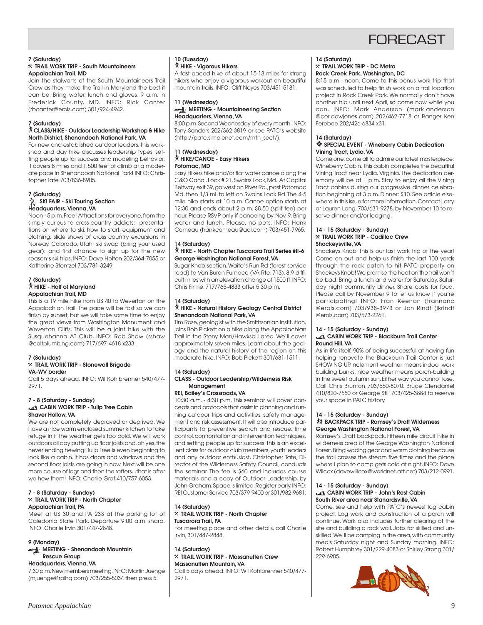# **FORFCAST**

#### **7 (Saturday)**

#### }**TRAIL WORK TRIP - South Mountaineers Appalachian Trail, MD**

Join the stalwarts of the South Mountaineers Trail Crew as they make the Trail in Maryland the best it can be. Bring water, lunch and gloves. 9 a.m. in Frederick County, MD. INFO: Rick Canter (rbcanter@erols.com) 301/924-4942.

#### **7 (Saturday)**

#### ` **CLASS/HIKE - Outdoor Leadership Workshop & Hike North District, Shenandoah National Park, VA**

For new and established outdoor leaders, this workshop and day hike discusses leadership types, setting people up for success, and modeling behavior. It covers 8 miles and 1,500 feet of climb at a moderate pace in Shenandoah National Park! INFO: Christopher Tate 703/836-8905.

#### **7 (Saturday)**

#### **R** SKI FAIR - Ski Touring Section **Headquarters, Vienna, VA**

Noon - 5 p.m. Free! Attractions for everyone, from the simply curious to cross-country addicts: presentations on where to ski, how to start, equipment and clothing; slide shows of cross country excursions in Norway, Colorado, Utah; ski swap (bring your used gear); and first chance to sign up for the new season's ski trips. INFO: Dave Holton 202/364-7055 or Katherine Stentzel 703/781-3249.

# **7 (Saturday)** ` **HIKE - Half of Maryland Appalachian Trail, MD**

This is a 19 mile hike from US 40 to Weverton on the Appalachian Trail. The pace will be fast so we can finish by sunset, but we will take some time to enjoy the great views from Washington Monument and Weverton Cliffs. This will be a joint hike with the Susquehanna AT Club. INFO: Rob Shaw (rshaw @coltplumbing.com) 717/697-4618 x233.

#### **7 (Saturday)**

#### }**TRAIL WORK TRIP - Stonewall Brigade VA-WV border**

Call 5 days ahead. INFO: Wil Kohlbrenner 540/477- 2971.

#### **7 - 8 (Saturday - Sunday) EX CABIN WORK TRIP - Tulip Tree Cabin Shaver Hollow, VA**

We are not completely depraved or deprived. We have a nice warm enclosed summer kitchen to take refuge in if the weather gets too cold. We will work outdoors all day putting up floor joists and, oh yes, the never ending hewing! Tulip Tree is even beginning to look like a cabin. It has doors and windows and the second floor joists are going in now. Next will be one more course of logs and then the rafters...that is after we hew them! INFO: Charlie Graf 410/757-6053.

#### **7 - 8 (Saturday - Sunday)** }**TRAIL WORK TRIP - North Chapter Appalachian Trail, PA**

Meet at US 30 and PA 233 at the parking lot of Caledonia State Park. Departure 9:00 a.m. sharp. INFO: Charlie Irvin 301/447-2848.

#### **9 (Monday)**

#### **MEETING - Shenandoah Mountain Rescue Group**

#### **Headquarters, Vienna, VA**

7:30 p.m. New members meeting. INFO: Martin Juenge (mjuenge@rpihq.com) 703/255-5034 then press 5.

#### **10 (Tuesday)** ` **HIKE - Vigorous Hikers**

A fast paced hike of about 15-18 miles for strong hikers who enjoy a vigorous workout on beautiful mountain trails. INFO: Cliff Noyes 703/451-5181.

#### **11 (Wednesday) MEETING - Mountaineering Section Headquarters, Vienna, VA**

8:00 p.m. Second Wednesday of every month. INFO: Tony Sanders 202/362-3819 or see PATC's website (http://patc.simplenet.com/mtn\_sect/).

#### **11 (Wednesday)** ` **HIKE/CANOE - Easy Hikers Potomac, MD**

Easy Hikers hike and/or flat water canoe along the C&O Canal. Lock # 21, Swains Lock, Md. At Capital Beltway exit 39, go west on River Rd., past Potomac Md. then 1/3 mi. to left on Swains Lock Rd. The 4-5 mile hike starts at 10 a.m. Canoe option starts at 12:30 and ends about 2 p.m. \$8.50 (split fee) per hour. Please RSVP only if canoeing by Nov. 9. Bring water and lunch. Please, no pets. INFO: Hank Comeau (hankcomeau@aol.com) 703/451-7965.

#### **14 (Saturday)** ` **HIKE - North Chapter Tuscarora Trail Series #II-6 George Washington National Forest, VA**

Sugar Knob section. Waite's Run Rd (forest service road) to Van Buren Furnace (VA Rte. 713). 8.9 difficult miles with an elevation change of 1500 ft. INFO: Chris Firme, 717/765-4833 after 5:30 p.m.

### **14 (Saturday)**

#### ` **HIKE - Natural History Geology Central District Shenandoah National Park, VA**

Tim Rose, geologist with the Smithsonian Institution, joins Bob Pickett on a hike along the Appalachian Trail in the Stony Man/Hawksbill area. We'll cover approximately seven miles. Learn about the geology and the natural history of the region on this moderate hike. INFO: Bob Pickett 301/681-1511.

#### **14 (Saturday)**

#### **CLASS - Outdoor Leadership/Wilderness Risk Management**

#### **REI, Bailey's Crossroads, VA**

10:30 a.m. - 4:30 p.m. This seminar will cover concepts and protocols that assist in planning and running outdoor trips and activities, safety management and risk assessment. It will also introduce participants to preventive search and rescue, time control, confrontation and intervention techniques, and setting people up for success. This is an excellent class for outdoor club members, youth leaders and any outdoor enthusiast. Christopher Tate, Director of the Wilderness Safety Council, conducts the seminar. The fee is \$60 and includes course materials and a copy of Outdoor Leadership, by John Graham. Space is limited. Register early. INFO: REI Customer Service 703/379-9400 or 301/982-9681.

#### **14 (Saturday)** }**TRAIL WORK TRIP - North Chapter**

#### **Tuscarora Trail, PA**

For meeting place and other details, call Charlie Irvin, 301/447-2848.

#### **14 (Saturday)** }**TRAIL WORK TRIP - Massanutten Crew Massanutten Mountain, VA**

Call 5 days ahead. INFO: Wil Kohlbrenner 540/477- 2971.

### **14 (Saturday)** }**TRAIL WORK TRIP - DC Metro**

#### **Rock Creek Park, Washington, DC**

8:15 a.m.- noon. Come to this bonus work trip that was scheduled to help finish work on a trail location project in Rock Creek Park. We normally don't have another trip until next April, so come now while you can. INFO: Mark Anderson (mark.anderson @cor.dowjones.com) 202/462-7718 or Ranger Ken Ferebee 202/426-6834 x31.

#### **14 (Saturday)** ❖ **SPECIAL EVENT - Wineberry Cabin Dedication Vining Tract, Lydia, VA**

Come one, come all to admire our latest masterpiece; Wineberry Cabin. This cabin completes the beautiful Vining Tract near Lydia, Virginia. The dedication ceremony will be at 1 p.m. Stay to enjoy all the Vining Tract cabins during our progressive dinner celebration beginning at 3 p.m. Dinner: \$10. See article elsewhere in this issue for more information. Contact Larry or Lauren Lang, 703/631-9278, by November 10 to reserve dinner and/or lodging.

#### **14 - 15 (Saturday - Sunday)** }**TRAIL WORK TRIP - Cadillac Crew Shockeysville, VA**

Shockeys Knob. This is our last work trip of the year! Come on out and help us finish the last 100 yards through the rock patch to hit PATC property on Shockeys Knob! We promise the heat on the trail won't be bad. Bring a lunch and water for Saturday. Saturday night community dinner. Share costs for food. Please call by November 9 to let us know if you're participating! INFO: Fran Keenan (frannanc @erols.com) 703/938-3973 or Jon Rindt (jkrindt @erols.com) 703/573-2261.

#### **14 - 15 (Saturday - Sunday)**

#### **EX CABIN WORK TRIP - Blackburn Trail Center Round Hill, VA**

As in life itself, 90% of being successful at having fun helping renovate the Blackburn Trail Center is just SHOWING UP. Inclement weather means indoor work building bunks, nice weather means porch-building in the sweet autumn sun. Either way you cannot lose. Call Chris Brunton 703/560-8070, Bruce Clendaniel 410/820-7550 or George Still 703/425-3884 to reserve your space in PATC history.

#### **14 - 15 (Saturday - Sunday)** *MI* **BACKPACK TRIP - Ramsey's Draft Wilderness George Washington National Forest, VA**

Ramsey's Draft backpack. Fifteen mile circuit hike in wilderness area of the George Washington National Forest. Bring wading gear and warm clothing because the trail crosses the stream five times and the place where I plan to camp gets cold at night. INFO: Dave Wilcox (davewillcox@worldnet.att.net) 703/212-0991.

#### **14 - 15 (Saturday - Sunday) CABIN WORK TRIP - John's Rest Cabin South River area near Stanardsville, VA**

Come, see and help with PATC's newest log cabin project. Log work and construction of a porch will continue. Work also includes further clearing of the site and building a rock wall. Jobs for skilled and unskilled. We'll be camping in the area, with community meals Saturday night and Sunday morning. INFO: Robert Humphrey 301/229-4083 or Shirley Strong 301/ 229-6905.

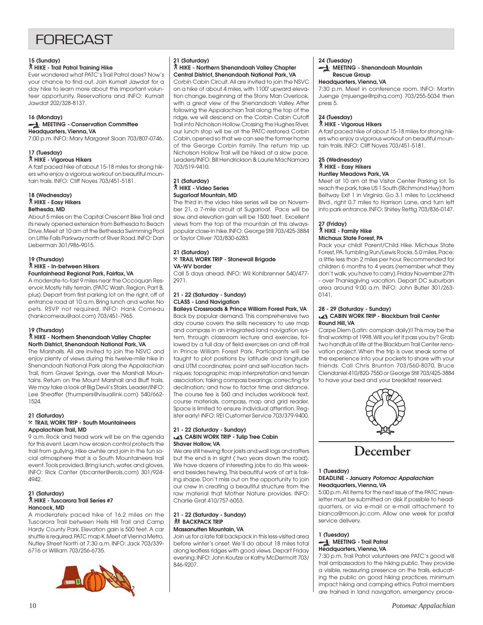# **FORFCAST**

#### **15 (Sunday)**

#### ` **HIKE - Trail Patrol Training Hike**

Ever wondered what PATC's Trail Patrol does? Now's your chance to find out. Join Kumait Jawdat for a day hike to learn more about this important volunteer opportunity. Reservations and INFO: Kumait Jawdat 202/328-8137.

#### **16 (Monday) MEETING - Conservation Committee Headquarters, Vienna, VA**

7:00 p.m. INFO: Mary Margaret Sloan 703/807-0746.

#### **17 (Tuesday)**

#### ` **HIKE - Vigorous Hikers**

A fast paced hike of about 15-18 miles for strong hikers who enjoy a vigorous workout on beautiful mountain trails. INFO: Cliff Noyes 703/451-5181.

#### **18 (Wednesday)** ` **HIKE - Easy Hikers Bethesda, MD**

About 5 miles on the Capital Crescent Bike Trail and its newly opened extension from Bethesda to Beach Drive. Meet at 10 am at the Bethesda Swimming Pool on Little Falls Parkway north of River Road. INFO: Dan Lieberman 301/986-9015.

#### **19 (Thursday)** ` **HIKE - In-between Hikers Fountainhead Regional Park, Fairfax, VA**

A moderate-to-fast 9 miles near the Occoquan Reservoir. Mostly hilly terrain. (PATC Wash. Region, Part B, plus). Depart from first parking lot on the right, off of entrance road at 10 a.m. Bring lunch and water. No pets. RSVP not required. INFO: Hank Comeau (hankcomeau@aol.com) 703/451-7965.

#### **19 (Thursday)**

#### ` **HIKE - Northern Shenandoah Valley Chapter North District, Shenandoah National Park, VA**

The Marshalls. All are invited to join the NSVC and enjoy plenty of views during this twelve-mile hike in Shenandoah National Park along the Appalachian Trail, from Gravel Springs, over the Marshall Mountains. Return on the Mount Marshall and Bluff trails. We may take a look at Big Devil's Stairs. Leader/INFO: Lee Sheaffer (thumpers@visuallink.com) 540/662- 1524.

#### **21 (Saturday)** }**TRAIL WORK TRIP - South Mountaineers Appalachian Trail, MD**

9 a.m. Rock and tread work will be on the agenda for this event. Learn how erosion control protects the trail from gullying. Hike awhile and join in the fun social atmosphere that is a South Mountaineers trail event. Tools provided. Bring lunch, water, and gloves. INFO: Rick Canter (rbcanter@erols.com) 301/924- 4942.

#### **21 (Saturday)** ` **HIKE - Tuscarora Trail Series #7 Hancock, MD**

A moderately paced hike of 16.2 miles on the Tuscarora Trail between Hells Hill Trail and Camp Hardy County Park. Elevation gain is 500 feet. A car shuttle is required. PATC map K. Meet at Vienna Metro, Nutley Street North at 7:30 a.m. INFO: Jack 703/339- 6716 or William 703/256-6735.



#### **21 (Saturday)**

#### ` **HIKE - Northern Shenandoah Valley Chapter Central District, Shenandoah National Park, VA**

Corbin Cabin Circuit. All are invited to join the NSVC on a hike of about 4 miles, with 1100' upward elevation change, beginning at the Stony Man Overlook, with a great view of the Shenandoah Valley. After following the Appalachian Trail along the top of the ridge, we will descend on the Corbin Cabin Cutoff Trail into Nicholson Hollow. Crossing the Hughes River, our lunch stop will be at the PATC-restored Corbin Cabin, opened so that we can see the former home of the George Corbin family. The return trip up Nicholson Hollow Trail will be hiked at a slow pace. Leaders/INFO: Bill Hendrickson & Laurie MacNamara 703/519-9410.

#### **21 (Saturday)** ` **HIKE - Video Series Sugarloaf Mountain, MD**

The third in the video hike series will be on November 21, a 7-mile circuit at Sugarloaf. Pace will be slow, and elevation gain will be 1500 feet. Excellent views from the top of the mountain at this alwayspopular close-in hike. INFO: George Still 703/425-3884 or Taylor Oliver 703/830-6283.

#### **21 (Saturday)** }**TRAIL WORK TRIP - Stonewall Brigade VA-WV border**

Call 5 days ahead. INFO: Wil Kohlbrenner 540/477- 2971.

#### **21 - 22 (Saturday - Sunday) CLASS - Land Navigation**

**Baileys Crossroads & Prince William Forest Park, VA** Back by popular demand. This comprehensive two day course covers the skills necessary to use map and compass in an integrated land navigation system, through classroom lecture and exercise, followed by a full day of field exercises on and off-trail in Prince William Forest Park. Participants will be taught to plot positions by latitude and longitude and UTM coordinates; point and self-location techniques; topographic map interpretation and terrain association; taking compass bearings; correcting for declination; and how to factor time and distance. The course fee is \$60 and includes workbook text, course materials, compass, map and grid reader. Space is limited to ensure individual attention. Register early! INFO: REI Customer Service 703/379-9400.

#### **21 - 22 (Saturday - Sunday) CABIN WORK TRIP - Tulip Tree Cabin Shaver Hollow, VA**

We are still hewing floor joists and wall logs and rafters but the end is in sight ( two years down the road). We have dozens of interesting jobs to do this weekend besides hewing. This beautiful work of art is taking shape. Don't miss out on the opportunity to join our crew in creating a beautiful structure from the raw material that Mother Nature provides. INFO: Charlie Graf 410/757-6053.

#### **21 - 22 (Saturday - Sunday) K BACKPACK TRIP Massanutten Mountain, VA**

Join us for a late fall backpack in this less-visited area before winter's onset. We'll do about 18 miles total along leafless ridges with good views. Depart Friday evening. INFO: John Koutze or Kathy McDermott 703/ 846-9207.

#### **24 (Tuesday)**

#### **MEETING - Shenandoah Mountain Rescue Group**

#### **Headquarters, Vienna, VA**

7:30 p.m. Meet in conference room. INFO: Martin Juenge (mjuenge@rpihq.com) 703/255-5034 then press 5.

#### **24 (Tuesday)**

#### ` **HIKE - Vigorous Hikers**

A fast paced hike of about 15-18 miles for strong hikers who enjoy a vigorous workout on beautiful mountain trails. INFO: Cliff Noyes 703/451-5181.

#### **25 (Wednesday)** ` **HIKE - Easy Hikers Huntley Meadows Park, VA**

Meet at 10 am at the Visitor Center Parking lot. To reach the park, take US 1 South (Richmond Hwy) from Beltway Exit 1 in Virginia. Go 3.1 miles to Lockheed Blvd., right 0.7 miles to Harrison Lane, and turn left into park entrance. INFO: Shirley Rettig 703/836-0147.

#### **27 (Friday)** ` **HIKE - Family Hike Michaux State Forest, PA**

Pack your child! Parent/Child Hike. Michaux State Forest, PA. Tumbling Run/Lewis Rocks. 5.0 miles. Pace: a little less than 2 miles per hour. Recommended for children 6 months to 4 years (remember what they don't walk, you have to carry). Friday November 27th - over Thanksgiving vacation. Depart DC suburban area around 9:00 a.m. INFO: John Butler 301/263- 0141.

#### **28 - 29 (Saturday - Sunday) EX CABIN WORK TRIP - Blackburn Trail Center Round Hill, VA**

Carpe Diem (Latin: complain daily)!! This may be the final worktrip of 1998. Will you let it pass you by? Grab two handfuls of life at the Blackburn Trail Center renovation project. When the trip is over, sneak some of the experience into your pockets to share with your friends. Call Chris Brunton 703/560-8070, Bruce Clendaniel 410/820-7550 or George Still 703/425-3884 to have your bed and your breakfast reserved.



# **December**

#### **1 (Tuesday)**

#### **DEADLINE - January Potomac Appalachian Headquarters, Vienna, VA**

5:00 p.m. All items for the next issue of the PATC newsletter must be submitted on disk if possible to headquarters, or via e-mail or e-mail attachment to bianca@moon.jic.com. Allow one week for postal service delivery.

#### **1 (Tuesday) MEETING - Trail Patrol Headquarters, Vienna, VA**

7:30 p.m. Trail Patrol volunteers are PATC's good will trail ambassadors to the hiking public. They provide a visible, reassuring presence on the trails, educating the public on good hiking practices, minimum impact hiking and camping ethics. Patrol members are trained in land navigation, emergency proce-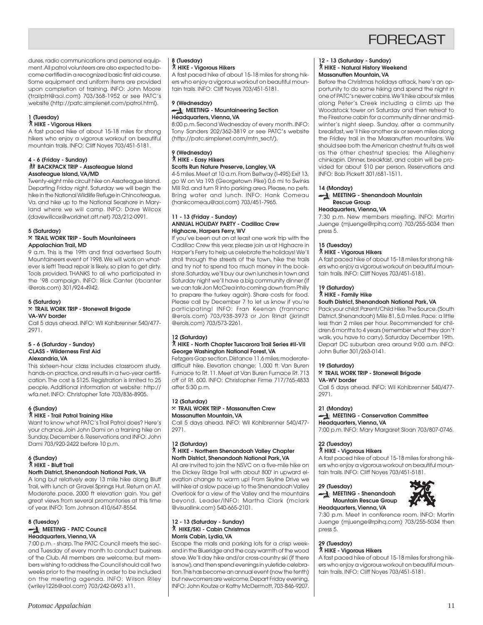

dures, radio communications and personal equipment. All patrol volunteers are also expected to become certified in a recognized basic first aid course. Some equipment and uniform items are provided upon completion of training. INFO: John Moore (trailptrl@aol.com) 703/368-1952 or see PATC's website (http://patc.simplenet.com/patrol.html).

#### **1 (Tuesday)**

#### ` **HIKE - Vigorous Hikers**

A fast paced hike of about 15-18 miles for strong hikers who enjoy a vigorous workout on beautiful mountain trails. INFO: Cliff Noyes 703/451-5181.

#### **4 - 6 (Friday - Sunday) KX BACKPACK TRIP - Assateague Island Assateague Island, VA/MD**

Twenty-eight mile circuit hike on Assateague IsIand. Departing Friday night. Saturday we will begin the hike in the National Wildlife Refuge in Chincoteague, Va. and hike up to the National Seashore in Maryland where we will camp. INFO: Dave Wilcox (davewillcox@worldnet.att.net) 703/212-0991.

#### **5 (Saturday)**

#### }**TRAIL WORK TRIP - South Mountaineers Appalachian Trail, MD**

9 a.m. This is the 19th and final advertised South Mountaineers event of 1998. We will work on whatever is left! Tread repair is likely, so plan to get dirty. Tools provided. THANKS to all who participated in the '98 campaign. INFO: Rick Canter (rbcanter @erols.com) 301/924-4942.

#### **5 (Saturday)**

#### }**TRAIL WORK TRIP - Stonewall Brigade VA-WV border**

Call 5 days ahead. INFO: Wil Kohlbrenner 540/477- 2971.

#### **5 - 6 (Saturday - Sunday) CLASS - Wilderness First Aid Alexandria, VA**

This sixteen-hour class includes classroom study, hands-on practice, and results in a two-year certification. The cost is \$125. Registration is limited to 25 people. Additional information at website: http:// wfa.net. INFO: Christopher Tate 703/836-8905.

#### **6 (Sunday)**

#### ` **HIKE - Trail Patrol Training Hike**

Want to know what PATC's Trail Patrol does? Here's your chance. Join John Dami on a training hike on Sunday, December 6. Reservations and INFO: John Dami 703/920-2422 before 10 p.m.

#### **6 (Sunday)** ` **HIKE - Bluff Trail**

#### **North District, Shenandoah National Park, VA**

A long but relatively easy 13 mile hike along Bluff Trail, with lunch at Gravel Springs Hut. Return on AT. Moderate pace, 2000 ft elevation gain. You get great views from several promontories at this time of year. INFO: Tom Johnson 410/647-8554.

#### **8 (Tuesday) MEETING - PATC Council Headquarters, Vienna, VA**

7:00 p.m. - sharp. The PATC Council meets the second Tuesday of every month to conduct business of the Club. All members are welcome, but members wishing to address the Council should call two weeks prior to the meeting in order to be included on the meeting agenda. INFO: Wilson Riley (wriley1226@aol.com) 703/242-0693 x11.

#### **8 (Tuesday)** ` **HIKE - Vigorous Hikers**

A fast paced hike of about 15-18 miles for strong hikers who enjoy a vigorous workout on beautiful mountain trails. INFO: Cliff Noyes 703/451-5181.

#### **9 (Wednesday) MEETING - Mountaineering Section Headquarters, Vienna, VA**

8:00 p.m. Second Wednesday of every month. INFO: Tony Sanders 202/362-3819 or see PATC's website (http://patc.simplenet.com/mtn\_sect/).

#### **9 (Wednesday)** ` **HIKE - Easy Hikers Scotts Run Nature Preserve, Langley, VA**

4-5 miles. Meet at 10 a.m. From Beltway (I-495) Exit 13, go W on Va 193 (Georgetown Pike) 0.6 mi to Swinks Mill Rd. and turn R into parking area. Please, no pets. Bring water and lunch. INFO: Hank Comeau (hankcomeau@aol.com) 703/451-7965.

#### **11 - 13 (Friday - Sunday) ANNUAL HOLIDAY PARTY - Cadillac Crew Highacre, Harpers Ferry, WV**

If you've been out on at least one work trip with the Cadillac Crew this year, please join us at Highacre in Harper's Ferry to help us celebrate the holidays! We'll stroll through the streets of the town, hike the trails and try not to spend too much money in the bookstore. Saturday, we'll buy our own lunches in town and Saturday night we'll have a big community dinner (if we can talk Jon McCrea into coming down from Philly to prepare the turkey again). Share costs for food. Please call by December 7 to let us know if you're participating! INFO: Fran Keenan (frannanc @erols.com) 703/938-3973 or Jon Rindt (jkrindt @erols.com) 703/573-2261.

#### **12 (Saturday)** ` **HIKE - North Chapter Tuscarora Trail Series #II-VII George Washington National Forest, VA**

Fetzgers Gap section. Distance 11.6 miles, moderatedifficult hike. Elevation change: 1,000 ft. Van Buren Furnace to Rt. 11. Meet at Van Buren Furnace Rt. 713 off of Rt. 600. INFO: Christopher Firme 717/765-4833 after 5:30 p.m.

#### **12 (Saturday)** }**TRAIL WORK TRIP - Massanutten Crew**

#### **Massanutten Mountain, VA**

Call 5 days ahead. INFO: Wil Kohlbrenner 540/477- 2971.

#### **12 (Saturday)** ` **HIKE - Northern Shenandoah Valley Chapter North District, Shenandoah National Park, VA**

All are invited to join the NSVC on a five-mile hike on the Dickey Ridge Trail with about 800' in upward elevation change to warm up! From Skyline Drive we will hike at a slow pace up to the Shenandoah Valley Overlook for a view of the Valley and the mountains beyond. Leader/INFO: Martha Clark (mclark @visuallink.com) 540-665-2101.

#### **12 - 13 (Saturday - Sunday)** ` **HIKE/SKI - Cabin Christmas Morris Cabin, Lydia, VA**

Escape the malls and parking lots for a crisp weekend in the Blueridge and the cozy warmth of the wood stove. We'll day hike and/or cross-country ski (if there is snow), and then spend evenings in yuletide celebration. This has become an annual event (now the tenth) but newcomers are welcome. Depart Friday evening. INFO: John Koutze or Kathy McDermott, 703-846-9207.

#### **12 - 13 (Saturday - Sunday)** ` **HIKE - Natural History Weekend Massanutten Mountain, VA**

Before the Christmas holidays attack, here's an opportunity to do some hiking and spend the night in one of PATC's newer cabins. We'll hike about six miles along Peter's Creek including a climb up the Woodstock tower on Saturday and then retreat to the Firestone cabin for a community dinner and midwinter's night sleep. Sunday, after a community breakfast, we'll hike another six or seven miles along the Fridley trail in the Massanutten mountains. We should see both the American chestnut fruits as well as the other chestnut species; the Allegheny chinkapin. Dinner, breakfast, and cabin will be provided for about \$10 per person. Reservations and INFO: Bob Pickett 301/681-1511.

#### **14 (Monday)**

#### **MEETING - Shenandoah Mountain Rescue Group**

#### **Headquarters, Vienna, VA**

7:30 p.m. New members meeting. INFO: Martin Juenge (mjuenge@rpihq.com) 703/255-5034 then press 5.

### **15 (Tuesday)**

#### ` **HIKE - Vigorous Hikers**

A fast paced hike of about 15-18 miles for strong hikers who enjoy a vigorous workout on beautiful mountain trails. INFO: Cliff Noyes 703/451-5181.

#### **19 (Saturday)**

#### ` **HIKE - Family Hike**

#### **South District, Shenandoah National Park, VA**

Pack your child! Parent/Child Hike. The Source. (South District, Shenandoah) Mile 81, 5.0 miles. Pace: a little less than 2 miles per hour. Recommended for children 6 months to 4 years (remember what they don't walk, you have to carry). Saturday December 19th. Depart DC suburban area around 9:00 a.m. INFO: John Butler 301/263-0141.

#### **19 (Saturday)**

#### }**TRAIL WORK TRIP - Stonewall Brigade VA-WV border**

Call 5 days ahead. INFO: Wil Kohlbrenner 540/477- 2971.

#### **21 (Monday)**

#### **MEETING - Conservation Committee Headquarters, Vienna, VA**

7:00 p.m. INFO: Mary Margaret Sloan 703/807-0746.

#### **22 (Tuesday)**

#### ` **HIKE - Vigorous Hikers**

A fast paced hike of about 15-18 miles for strong hikers who enjoy a vigorous workout on beautiful mountain trails. INFO: Cliff Noyes 703/451-5181.

# **29 (Tuesday) MEETING - Shenandoah**



#### **Mountain Rescue Group Headquarters, Vienna, VA**

7:30 p.m. Meet in conference room. INFO: Martin Juenge (mjuenge@rpihq.com) 703/255-5034 then press 5.

### **29 (Tuesday)**

### ` **HIKE - Vigorous Hikers**

A fast paced hike of about 15-18 miles for strong hikers who enjoy a vigorous workout on beautiful mountain trails. INFO: Cliff Noyes 703/451-5181.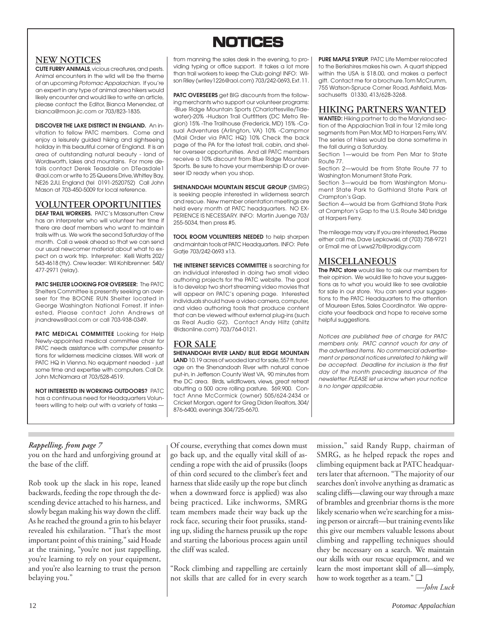# **NOTICES NOTICES**

# **NEW NOTICES**

**CUTE FURRY ANIMALS**, vicious creatures, and pests. Animal encounters in the wild will be the theme of an upcoming Potomac Appalachian. If you're an expert in any type of animal area hikers would likely encounter and would like to write an article, please contact the Editor, Bianca Menendez, at bianca@moon.jic.com or 703/823-1835.

**DISCOVER THE LAKE DISTRICT IN ENGLAND.** An invitation to fellow PATC members. Come and enjoy a leisurely guided hiking and sightseeing holiday in this beautiful corner of England. It is an area of outstanding natural beauty - land of Wordsworth, lakes and mountains. For more details contact Derek Teasdale on DTeasdale1 @aol.com or write to 25 Queens Drive, Whitley Bay, NE26 2JU, England (tel 0191-2520752) Call John Mason at 703-450-5009 for local reference.

# **VOLUNTEER OPORTUNITIES**

**DEAF TRAIL WORKERS.** PATC's Massanutten Crew has an interpreter who will volunteer her time if there are deaf members who want to maintain trails with us. We work the second Saturday of the month. Call a week ahead so that we can send our usual newcomer material about what to expect on a work trip. Interpreter: Kelli Watts 202/ 543-4618 (tty). Crew leader: Wil Kohlbrenner: 540/ 477-2971 (relay).

**PATC SHELTER LOOKING FOR OVERSEER:** The PATC Shelters Committee is presently seeking an overseer for the BOONE RUN Shelter located in George Washington National Forrest. If interested, Please contact John Andrews at jnandrews@aol.com or call 703-938-0349.

**PATC MEDICAL COMMITTEE** Looking for Help Newly-appointed medical committee chair for PATC needs assistance with computer presentations for wilderness medicine classes. Will work at PATC HQ in Vienna. No equipment needed - just some time and expertise with computers. Call Dr. John McNamara at 703/528-4519.

**NOT INTERESTED IN WORKING OUTDOORS?** PATC has a continuous need for Headquarters Volunteers willing to help out with a variety of tasks — from manning the sales desk in the evening, to providing typing or office support. It takes a lot more than trail workers to keep the Club going! INFO: Wilson Riley (wriley1226@aol.com) 703/242-0693, Ext. 11.

**PATC OVERSEERS** get BIG discounts from the following merchants who support our volunteer programs: -Blue Ridge Mountain Sports (Charlottesville/Tidewater)-20% -Hudson Trail Outfitters (DC Metro Region) 15% -The Trailhouse (Frederick, MD) 15% -Casual Adventures (Arlington, VA) 10% -Campmor (Mail Order via PATC HQ) 10% Check the back page of the PA for the latest trail, cabin, and shelter overseer opportunities. And all PATC members receive a 10% discount from Blue Ridge Mountain Sports. Be sure to have your membership ID or overseer ID ready when you shop.

**SHENANDOAH MOUNTAIN RESCUE GROUP** (SMRG) is seeking people interested in wilderness search and rescue. New member orientation meetings are held every month at PATC headquarters. NO EX-PERIENCE IS NECESSARY. INFO: Martin Juenge 703/ 255-5034, then press #5.

**TOOL ROOM VOLUNTEERS NEEDED** to help sharpen and maintain tools at PATC Headquarters. INFO: Pete Gatie 703/242-0693 x13.

**THE INTERNET SERVICES COMMITTEE** is searching for an individual interested in doing two small video authoring projects for the PATC website. The goal is to develop two short streaming video movies that will appear on PATC's opening page. Interested individuals should have a video camera, computer, and video authoring tools that produce content that can be viewed without external plug-ins (such as Real Audio G2). Contact Andy Hiltz (ahiltz @idsonline.com) 703/764-0121.

### **FOR SALE**

**SHENANDOAH RIVER LAND/ BLUE RIDGE MOUNTAIN** LAND 10.19 acres of wooded land for sale, 557 ft. frontage on the Shenandoah River with natural canoe put-in, in Jefferson County West VA, 90 minutes from the DC area. Birds, wildflowers, views, great retreat abutting a 500 acre rolling pasture, \$69,900. Contact Anne McCormick (owner) 505/624-2434 or Cricket Morgan, agent for Greg Diden Realtors, 304/ 876-6400, evenings 304/725-6670.

**PURE MAPLE SYRUP.** PATC Life Member relocated to the Berkshires makes his own. A quart shipped within the USA is \$18.00, and makes a perfect gift. Contact me for a brochure. Tom McCrumm, 755 Watson-Spruce Corner Road, Ashfield, Massachusetts 01330, 413/628-3268.

### **HIKING PARTNERS WANTED**

**WANTED:** Hiking partner to do the Maryland section of the Appalachian Trail in four 12 mile long segments from Pen Mar, MD to Harpers Ferry, WV. The series of hikes would be done sometime in the fall during a Saturday.

Section 1—would be from Pen Mar to State Route 77.

Section 2—would be from State Route 77 to Washington Monument State Park.

Section 3—would be from Washington Monument State Park to Gathland State Park at Crampton's Gap.

Section 4—would be from Gathland State Park at Crampton's Gap to the U.S. Route 340 bridge at Harpers Ferry.

The mileage may vary. If you are interested, Please either call me, Dave Lepkowski, at (703) 758-9721 or Email me at Lwws27b@prodigy.com

### **MISCELLANEOUS**

**The PATC store** would like to ask our members for their opinion. We would like to have your suggestions as to what you would like to see available for sale in our store. You can send your suggestions to the PATC Headquarters to the attention of Maureen Estes, Sales Coordinator. We appreciate your feedback and hope to receive some helpful suggestions.

Notices are published free of charge for PATC members only. PATC cannot vouch for any of the advertised items. No commercial advertisement or personal notices unrelated to hiking will be accepted. Deadline for inclusion is the first day of the month preceding issuance of the newsletter. PLEASE let us know when your notice is no longer applicable.

### *Rappelling, from page 7*

you on the hard and unforgiving ground at the base of the cliff.

Rob took up the slack in his rope, leaned backwards, feeding the rope through the descending device attached to his harness, and slowly began making his way down the cliff. As he reached the ground a grin to his belayer revealed his exhilaration. "That's the most important point of this training," said Hoade at the training, "you're not just rappelling, you're learning to rely on your equipment, and you're also learning to trust the person belaying you."

Of course, everything that comes down must go back up, and the equally vital skill of ascending a rope with the aid of prussiks (loops of thin cord secured to the climber's feet and harness that slide easily up the rope but clinch when a downward force is applied) was also being practiced. Like inchworms, SMRG team members made their way back up the rock face, securing their foot prussiks, standing up, sliding the harness prussik up the rope and starting the laborious process again until the cliff was scaled.

"Rock climbing and rappelling are certainly not skills that are called for in every search

mission," said Randy Rupp, chairman of SMRG, as he helped repack the ropes and climbing equipment back at PATC headquarters later that afternoon. "The majority of our searches don't involve anything as dramatic as scaling cliffs—clawing our way through a maze of brambles and greenbriar thorns is the more likely scenario when we're searching for a missing person or aircraft—but training events like this give our members valuable lessons about climbing and rappelling techniques should they be necessary on a search. We maintain our skills with our rescue equipment, and we learn the most important skill of all—simply, how to work together as a team." ❑

*—John Luck*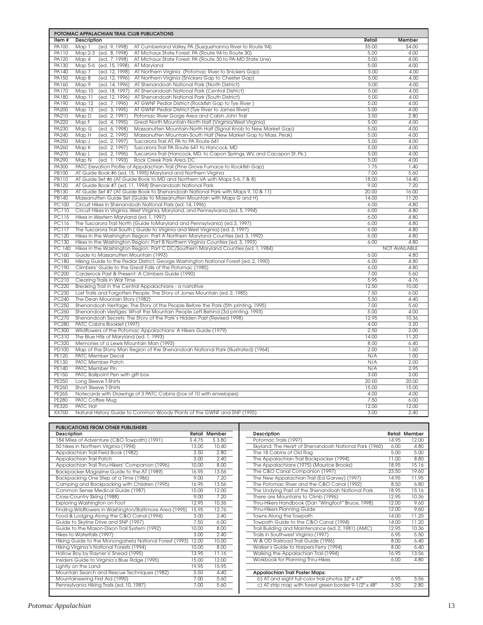|                              | POTOMAC APPALACHIAN TRAIL CLUB PUBLICATIONS                                                                                                  |               |                      |
|------------------------------|----------------------------------------------------------------------------------------------------------------------------------------------|---------------|----------------------|
| Item#                        | <b>Description</b>                                                                                                                           | Retail        | Member               |
| PA100                        | Map 1<br>(ed. 9, 1998)<br>AT Cumberland Valley, PA (Susquehanna River to Route 94)                                                           | \$5.00        | \$4.00               |
| <b>PA110</b>                 | (ed. 8, 1998)<br>Map 2-3<br>AT Michaux State Forest, PA (Route 94 to Route 30)                                                               | 5.00          | 4.00                 |
| PA120                        | Map 4<br>(ed. 7, 1998)<br>AT Michaux State Forest, PA (Route 30 to PA-MD State Line)                                                         | 5.00          | 4.00                 |
| PA130                        | Map 5-6 (ed. 15, 1998)<br>AT Maryland                                                                                                        | 5.00          | 4.00                 |
| <b>PA140</b>                 | (ed. 12, 1998)<br>Map 7<br>AT Northern Virginia (Potomac River to Snickers Gap)                                                              | 5.00          | 4.00                 |
| PA150                        | Map 8<br>(ed. 12, 1996)<br>AT Northern Virginia (Snickers Gap to Chester Gap)                                                                | 5.00          | 4.00                 |
| PA160                        | Map 9<br>(ed. 14, 1996)<br>AT Shenandoah National Park (North District)                                                                      | 5.00          | 4.00                 |
| <b>PA170</b>                 | (ed. 18, 1997)<br>Map 10<br>AT Shenandoah National Park (Central District)                                                                   | 5.00          | 4.00                 |
| PA180                        | Map 11<br>(ed. 12, 1996)<br>AT Shenandoah National Park (South District)                                                                     | 5.00          | 4.00                 |
| PA190                        | (ed. 7, 1996)<br>Map 12<br>AT GWNF Pedlar District (Rockfish Gap to Tye River)                                                               | 5.00          | 4.00                 |
| PA200                        | Map 13<br>(ed. 3, 1995)<br>AT GWNF Pedlar District (Tye River to James River)                                                                | 5.00          | 4.00                 |
| PA210                        | Map D<br>(ed. 2, 1991)<br>Potomac River Gorge Area and Cabin John Trail                                                                      | 3.50          | 2.80                 |
| PA220                        | (ed. 4, 1995)<br>Map F<br>Great North Mountain-North Half (Virginia/West Virginia)                                                           | 5.00          | 4.00                 |
| PA230                        | (ed. 6, 1998)<br>Map G<br>Massanutten Mountain-North Half (Signal Knob to New Market Gap)                                                    | 5.00          | 4.00                 |
| PA240                        | Map H<br>(ed. 2, 1995)<br>Massanutten Mountain-South Half (New Market Gap to Mass. Peak)                                                     | 5.00          | 4.00                 |
| PA250                        | Map J<br>(ed. 2, 1997)<br>Tuscarora Trail AT, PA to PA Route 641                                                                             | 5.00          | 4.00                 |
| PA260                        | (ed. 2, 1997)<br>Map K<br>Tuscarora Trail PA Route 641 to Hancock, MD                                                                        | 5.00          | 4.00                 |
| <b>PA270</b>                 | Map L<br>(ed. 2, 1996)<br>Tuscarora Trail (Hancock, MD, to Capon Springs, WV, and Cacapon St. Pk.)                                           | 5.00          | 4.00                 |
| PA290                        | (ed. 1, 1993)<br>Map N<br>Rock Creek Park Area, DC                                                                                           | 5.00<br>1.75  | 4.00<br>1.40         |
| <b>PA300</b><br><b>PB100</b> | PATC Elevation Profile of Appalachian Trail (Pine Grove Furnace to Rockfish Gap)                                                             | 7.00          | 5.60                 |
| <b>PB110</b>                 | AT Guide Book #6 (ed. 15, 1995) Maryland and Northern Virginia<br>AT Guide Set #6 (AT Guide Book to MD and Northern VA with Maps 5-6, 7 & 8) | 18.00         | 14.40                |
| <b>PB120</b>                 | AT Guide Book #7 (ed. 11, 1994) Shenandoah National Park                                                                                     | 9.00          | 7.20                 |
| <b>PB130</b>                 | AT Guide Set #7 (AT Guide Book to Shenandoah National Park with Maps 9, 10 & 11)                                                             | 20.00         | 16.00                |
| <b>PB140</b>                 | Massanutten Guide Set (Guide to Massanutten Mountain with Maps G and H)                                                                      | 14.00         | 11.20                |
| <b>PC100</b>                 | Circuit Hikes in Shenandoah National Park (ed. 14, 1996)                                                                                     | 6.00          | 4.80                 |
| <b>PC110</b>                 | Circuit Hikes in Virginia, West Virginia, Maryland, and Pennsylvania (ed. 5, 1994)                                                           | 6.00          | 4.80                 |
| <b>PC115</b>                 | Hikes in Western Maryland (ed. 1, 1997)                                                                                                      | 6.00          | 4.80                 |
| <b>PC116</b>                 | The Tuscarora Trail North (Guide to Maryland and Pennsylvania) (ed.3, 1997)                                                                  | 6.00          | 4.80                 |
| <b>PC117</b>                 | The Tuscarora Trail South (Guide to Virginia and West Virginia) (ed. 3, 1997)                                                                | 6.00          | 4.80                 |
| <b>PC120</b>                 | Hikes in the Washington Region: Part A Northern Maryland Counties (ed. 3, 1992)                                                              | 6.00          | 4.80                 |
| <b>PC130</b>                 | Hikes in the Washington Region: Part B Northern Virginia Counties (ed. 3, 1993)                                                              | 6.00          | 4.80                 |
| PC 140                       | Hikes in the Washington Region: Part C DC/Southern Maryland Counties (ed. 1, 1984)                                                           |               | <b>NOT AVAILABLE</b> |
| PC160                        | Guide to Massanutten Mountain (1993)                                                                                                         | 6.00          | 4.80                 |
| <b>PC180</b>                 | Hiking Guide to the Pedlar District, George Washington National Forest (ed. 2, 1990)                                                         | 6.00          | 4.80                 |
| <b>PC190</b>                 | Climbers' Guide to the Great Falls of the Potomac (1985)                                                                                     | 6.00          | 4.80                 |
| <b>PC200</b>                 | Carderock Past & Present: A Climbers Guide (1990)                                                                                            | 7.00          | 5.60                 |
| PC210                        | Clearing Trails in War Time                                                                                                                  | 5.95          | 4.76                 |
| <b>PC220</b>                 | Breaking Trail in the Central Appalachians - a narrative                                                                                     | 12.50         | 10.00                |
| PC230                        | Lost Trails and Forgotten People: The Story of Jones Mountain (ed. 2, 1985)                                                                  | 7.50          | 6.00                 |
| <b>PC240</b>                 | The Dean Mountain Story (1982)                                                                                                               | 5.50          | 4.40                 |
| <b>PC250</b>                 | Shenandoah Heritage: The Story of the People Before the Park (5th printing, 1995)                                                            | 7.00          | 5.60                 |
| PC260                        | Shenandoah Vestiges: What the Mountain People Left Behind (3d printing, 1993)                                                                | 5.00          | 4.00                 |
| <b>PC270</b><br><b>PC280</b> | Shenandoah Secrets: The Story of the Park's Hidden Past (Revised 1998)                                                                       | 12.95<br>4.00 | 10.36                |
| PC300                        | PATC Cabins Booklet (1997)                                                                                                                   | 2.50          | 3.20<br>2.00         |
| <b>PC310</b>                 | Wildflowers of the Potomac Appalachians: A Hikers Guide (1979)<br>The Blue Hills of Maryland (ed. 1, 1993)                                   | 14.00         | 11.20                |
| <b>PC320</b>                 | Memories of a Lewis Mountain Man (1993)                                                                                                      | 8.00          | 6.40                 |
| PD100                        | Map of the Stony Man Region of the Shenandoah National Park (Illustrated) (1964)                                                             | 2.00          | 1.60                 |
| <b>PE120</b>                 | PATC Member Decal                                                                                                                            | N/A           | 1.00                 |
| <b>PE130</b>                 | <b>PATC Member Patch</b>                                                                                                                     | N/A           | 2.00                 |
| PE140                        | PATC Member Pin                                                                                                                              | N/A           | 2.95                 |
| PE150                        | PATC Ballpoint Pen with gift box                                                                                                             | 3.00          | 3.00                 |
| <b>PE250</b>                 | Long Sleeve T-Shirts                                                                                                                         | 20.00         | 20.00                |
| PE260                        | Short Sleeve T-Shirts                                                                                                                        | 15.00         | 15.00                |
| <b>PE265</b>                 | Notecards with Drawings of 3 PATC Cabins (box of 10 with envelopes)                                                                          | 4.00          | 4.00                 |
| <b>PE280</b>                 | PATC Coffee Mug                                                                                                                              | 7.50          | 6.00                 |
| PE320                        | PATC Hat                                                                                                                                     | 12.00         | 12.00                |
| <b>XX700</b>                 | Natural History Guide to Common Woody Plants of the GWNF and SNP (1995)                                                                      | 3.00          | 2.40                 |

| <b>PUBLICATIONS FROM OTHER PUBLISHERS</b><br>Description |        | <b>Retail Member</b> |
|----------------------------------------------------------|--------|----------------------|
| 184 Miles of Adventure (C&O Towpath) (1991)              | \$4.75 | \$3.80               |
| 50 hikes in Northern Virginia (1994)                     | 13.00  | 10.40                |
| Appalachian Trail Field Book (1982)                      | 3.50   | 2.80                 |
| Appalachian Trail Patch                                  | 3.00   | 2.40                 |
|                                                          | 10.00  | 8.00                 |
| Appalachian Trail Thru-Hikers' Companion (1996)          | 16.95  | 13.56                |
| Backpacker Magazine Guide to the AT (1989)               |        |                      |
| Backpacking One Step at a Time (1986)                    | 9.00   | 7.20                 |
| Camping and Backpacking with Children (1995)             | 16.95  | 13.56                |
| Common Sense Medical Guide (1987)                        | 15.00  | 12.00                |
| Cross-Country Skiing (1988)                              | 9.00   | 7.20                 |
| Exploring Washington on Foot                             | 12.95  | 10.36                |
| Finding Wildflowers in Washington/Baltimore Area (1995)  | 15.95  | 12.76                |
| Food & Lodging Along the C&O Canal (1994)                | 3.00   | 2.40                 |
| Guide to Skyline Drive and SNP (1997)                    | 7.50   | 6.00                 |
| Guide to the Mason-Dixon Trail System (1992)             | 10.00  | 8.00                 |
| Hikes to Waterfalls (1997)                               | 3.00   | 2.40                 |
| Hiking Guide to the Monongahela National Forest (1993)   | 12.00  | 10.00                |
| Hiking Virginia's National Forests (1994)                | 10.00  | 8.00                 |
| Hollow Boy by Rayner V. Snead (1995)                     | 13.95  | 11.16                |
| Insiders Guide to Virginia's Blue Ridge (1995)           | 15.00  | 12.00                |
| Lightly on the Land                                      | 19.95  | 15.95                |
| Mountain Search and Rescue Techniques (1982)             | 5.50   | 4.40                 |
| Mountaineering First Aid (1990)                          | 7.00   | 5.60                 |
| Pennsylvania Hiking Trails (ed. 10, 1987)                | 7.00   | 5.60                 |
|                                                          |        |                      |

| Description                                           |       | Retail Member |
|-------------------------------------------------------|-------|---------------|
| Potomac Trails (1997)                                 | 14.95 | 12.00         |
| Skyland: The Heart of Shenandoah National Park (1960) | 6.00  | 4.80          |
| The 18 Cabins of Old Rag                              | 500   | 5.00          |
| The Appalachian Trail Backpacker (1994)               | 11.00 | 8.80          |
| The Appalachians (1975) (Maurice Brooks)              | 18.95 | 15.16         |
| The C&O Canal Companion (1997)                        | 23.50 | 19.60         |
| The New Appalachian Trail (Ed Garvey) (1997)          | 14.95 | 11.95         |
| The Potomac River and the C&O Canal (1992)            | 8.50  | 6.80          |
| The Undying Past of the Shenandoah National Park      | 1895  | 15.16         |
| There are Mountains to Climb (1996)                   | 12.95 | 10.36         |
| Thru-Hikers Handbook (Dan "Wingfoot" Bruce, 1998)     | 12.00 | 9.60          |
| <b>Thru-Hikers Planning Guide</b>                     | 12.00 | 9.60          |
| Towns Along the Towpath                               | 14.00 | 11.20         |
| Towpath Guide to the C&O Canal (1994)                 | 14.00 | 11.20         |
| Trail Building and Maintenance (ed. 2, 1981) (AMC)    | 12.95 | 10.36         |
| Trails in Southwest Virginia (1997)                   | 6.95  | 5.50          |
| W & OD Railroad Trail Guide (1996)                    | 8.00  | 6.40          |
| Walker s Guide to Harpers Ferry (1994)                | 8.00  | 6.40          |
| Walking the Appalachian Trail (1994)                  | 16.95 | 13.56         |
| Workbook for Planning Thru-Hikes                      | 6.00  | 4.80          |
|                                                       |       |               |
| Appalachian Trail Poster Maps:                        |       |               |
| b) AT and eight full-color trail photos 32" x 47"     | 6.95  | 5.56          |
| c) AT strip map with forest green border 9-1/2" x 48" | 3.50  | 2.80          |
|                                                       |       |               |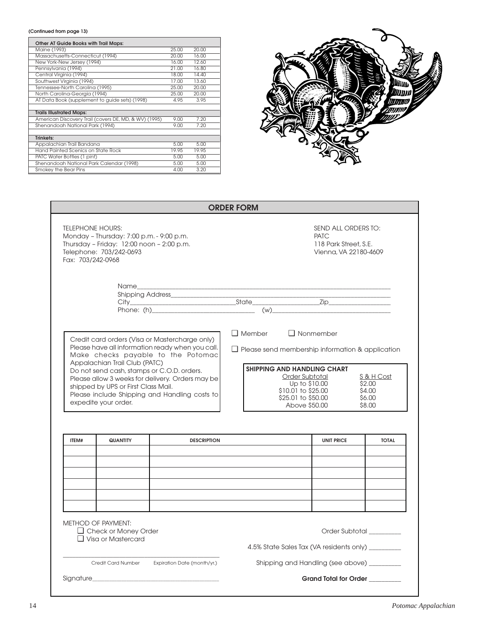#### **(Continued from page 13)**

| Other AT Guide Books with Trail Maps:                 |       |       |  |
|-------------------------------------------------------|-------|-------|--|
| Maine (1993)                                          | 25.00 | 20.00 |  |
| Massachusetts-Connecticut (1994)                      | 20.00 | 16.00 |  |
| New York-New Jersey (1994)                            | 16.00 | 12.60 |  |
| Pennsylvania (1994)                                   | 21.00 | 16.80 |  |
| Central Virginia (1994)                               | 18.00 | 14.40 |  |
| Southwest Virginia (1994)                             | 17.00 | 13.60 |  |
| Tennessee-North Carolina (1995)                       | 25.00 | 20.00 |  |
| North Carolina-Georgia (1994)                         | 25.00 | 20.00 |  |
| AT Data Book (supplement to guide sets) (1998)        | 4.95  | 3.95  |  |
|                                                       |       |       |  |
| <b>Trails Illustrated Maps:</b>                       |       |       |  |
| American Discovery Trail (covers DE, MD, & WV) (1995) | 9.00  | 7.20  |  |
| Shenandoah National Park (1994)                       | 9.00  | 7.20  |  |
|                                                       |       |       |  |
| <b>Trinkets:</b>                                      |       |       |  |
| Appalachian Trail Bandana                             | 5.00  | 5.00  |  |
| Hand Painted Scenics on State Rock                    | 19.95 | 19.95 |  |
| PATC Water Bottles (1 pint)                           | 5.00  | 5.00  |  |
| Shenandoah National Park Calendar (1998)              | 5.00  | 5.00  |  |
| Smokey the Bear Pins                                  | 4.00  | 3.20  |  |



|       |                                                                                                                                                                  |                                                                                                                                                                                                                                                                                             | <b>ORDER FORM</b> |                                                                                                                                                                                                                   |                                                    |
|-------|------------------------------------------------------------------------------------------------------------------------------------------------------------------|---------------------------------------------------------------------------------------------------------------------------------------------------------------------------------------------------------------------------------------------------------------------------------------------|-------------------|-------------------------------------------------------------------------------------------------------------------------------------------------------------------------------------------------------------------|----------------------------------------------------|
|       | <b>TELEPHONE HOURS:</b><br>Monday - Thursday: 7:00 p.m. - 9:00 p.m.<br>Thursday - Friday: 12:00 noon - 2:00 p.m.<br>Telephone: 703/242-0693<br>Fax: 703/242-0968 |                                                                                                                                                                                                                                                                                             |                   | SEND ALL ORDERS TO:<br><b>PATC</b><br>118 Park Street, S.E.<br>Vienna, VA 22180-4609                                                                                                                              |                                                    |
|       |                                                                                                                                                                  | Shipping Address_____________                                                                                                                                                                                                                                                               |                   |                                                                                                                                                                                                                   |                                                    |
|       | Appalachian Trail Club (PATC)<br>shipped by UPS or First Class Mail.<br>expedite your order.                                                                     | Credit card orders (Visa or Mastercharge only)<br>Please have all information ready when you call.<br>Make checks payable to the Potomac<br>Do not send cash, stamps or C.O.D. orders.<br>Please allow 3 weeks for delivery. Orders may be<br>Please include Shipping and Handling costs to | $\Box$ Member     | $\Box$ Nonmember<br>$\Box$ Please send membership information & application<br><b>SHIPPING AND HANDLING CHART</b><br>Order Subtotal<br>Up to \$10.00<br>\$10.01 to \$25.00<br>\$25.01 to \$50.00<br>Above \$50,00 | S & H Cost<br>\$2,00<br>\$4.00<br>\$6.00<br>\$8,00 |
|       |                                                                                                                                                                  |                                                                                                                                                                                                                                                                                             |                   |                                                                                                                                                                                                                   |                                                    |
| ITEM# | <b>QUANTITY</b>                                                                                                                                                  | <b>DESCRIPTION</b>                                                                                                                                                                                                                                                                          |                   | <b>UNIT PRICE</b>                                                                                                                                                                                                 | <b>TOTAL</b>                                       |
|       |                                                                                                                                                                  |                                                                                                                                                                                                                                                                                             |                   |                                                                                                                                                                                                                   |                                                    |
|       | <b>METHOD OF PAYMENT:</b><br>$\Box$ Check or Money Order<br>$\Box$ Visa or Mastercard                                                                            |                                                                                                                                                                                                                                                                                             |                   | Order Subtotal _________<br>4.5% State Sales Tax (VA residents only) ________                                                                                                                                     |                                                    |
|       | Credit Card Number                                                                                                                                               | Expiration Date (month/yr.)                                                                                                                                                                                                                                                                 |                   | Shipping and Handling (see above) _________                                                                                                                                                                       |                                                    |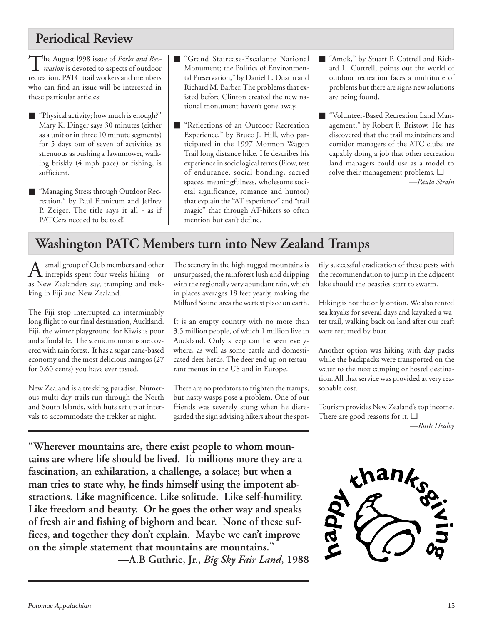# **Periodical Review**

The August 1998 issue of *Parks and Rec-*<br>*reation* is devoted to aspects of outdoor recreation. PATC trail workers and members who can find an issue will be interested in these particular articles:

- "Physical activity; how much is enough?" Mary K. Dinger says 30 minutes (either as a unit or in three 10 minute segments) for 5 days out of seven of activities as strenuous as pushing a lawnmower, walking briskly (4 mph pace) or fishing, is sufficient.
- "Managing Stress through Outdoor Recreation," by Paul Finnicum and Jeffrey P. Zeiger. The title says it all - as if PATCers needed to be told!
- "Grand Staircase-Escalante National Monument; the Politics of Environmental Preservation," by Daniel L. Dustin and Richard M. Barber. The problems that existed before Clinton created the new national monument haven't gone away.
- "Reflections of an Outdoor Recreation Experience," by Bruce J. Hill, who participated in the 1997 Mormon Wagon Trail long distance hike. He describes his experience in sociological terms (Flow, test of endurance, social bonding, sacred spaces, meaningfulness, wholesome societal significance, romance and humor) that explain the "AT experience" and "trail magic" that through AT-hikers so often mention but can't define.
- "Amok," by Stuart P. Cottrell and Richard L. Cottrell, points out the world of outdoor recreation faces a multitude of problems but there are signs new solutions are being found.
- "Volunteer-Based Recreation Land Management," by Robert F. Bristow. He has discovered that the trail maintainers and corridor managers of the ATC clubs are capably doing a job that other recreation land managers could use as a model to solve their management problems. ❑ *—Paula Strain*

# **Washington PATC Members turn into New Zealand Tramps**

 $A$  small group of Club members and other<br>intrepids spent four weeks hiking—or as New Zealanders say, tramping and trekking in Fiji and New Zealand.

The Fiji stop interrupted an interminably long flight to our final destination, Auckland. Fiji, the winter playground for Kiwis is poor and affordable. The scenic mountains are covered with rain forest. It has a sugar cane-based economy and the most delicious mangos (27 for 0.60 cents) you have ever tasted.

New Zealand is a trekking paradise. Numerous multi-day trails run through the North and South Islands, with huts set up at intervals to accommodate the trekker at night.

The scenery in the high rugged mountains is unsurpassed, the rainforest lush and dripping with the regionally very abundant rain, which in places averages 18 feet yearly, making the Milford Sound area the wettest place on earth.

It is an empty country with no more than 3.5 million people, of which 1 million live in Auckland. Only sheep can be seen everywhere, as well as some cattle and domesticated deer herds. The deer end up on restaurant menus in the US and in Europe.

There are no predators to frighten the tramps, but nasty wasps pose a problem. One of our friends was severely stung when he disregarded the sign advising hikers about the spottily successful eradication of these pests with the recommendation to jump in the adjacent lake should the beasties start to swarm.

Hiking is not the only option. We also rented sea kayaks for several days and kayaked a water trail, walking back on land after our craft were returned by boat.

Another option was hiking with day packs while the backpacks were transported on the water to the next camping or hostel destination. All that service was provided at very reasonable cost.

Tourism provides New Zealand's top income. There are good reasons for it. ❑ *—Ruth Healey*

**"Wherever mountains are, there exist people to whom mountains are where life should be lived. To millions more they are a fascination, an exhilaration, a challenge, a solace; but when a man tries to state why, he finds himself using the impotent abstractions. Like magnificence. Like solitude. Like self-humility. Like freedom and beauty. Or he goes the other way and speaks of fresh air and fishing of bighorn and bear. None of these suffices, and together they don't explain. Maybe we can't improve on the simple statement that mountains are mountains."**

**—A.B Guthrie, Jr.,** *Big Sky Fair Land***, 1988**

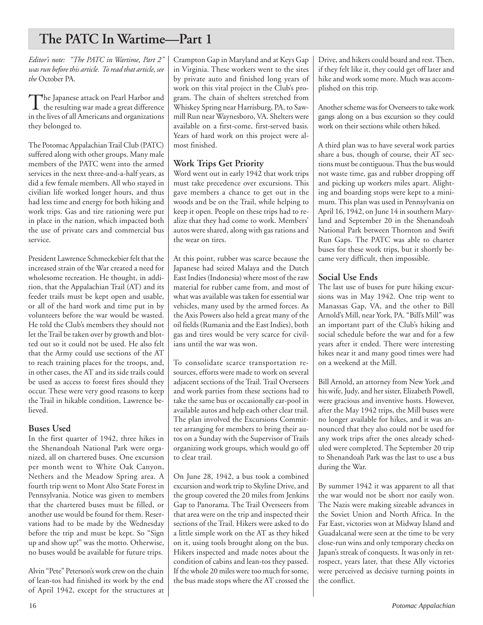# **The PATC In Wartime—Part 1**

*Editor's note: "The PATC in Wartime, Part 2" was run before this article. To read that article, see the* October PA.

The Japanese attack on Pearl Harbor and<br>the resulting war made a great difference in the lives of all Americans and organizations they belonged to.

The Potomac Appalachian Trail Club (PATC) suffered along with other groups. Many male members of the PATC went into the armed services in the next three-and-a-half years, as did a few female members. All who stayed in civilian life worked longer hours, and thus had less time and energy for both hiking and work trips. Gas and tire rationing were put in place in the nation, which impacted both the use of private cars and commercial bus service.

President Lawrence Schmeckebier felt that the increased strain of the War created a need for wholesome recreation. He thought, in addition, that the Appalachian Trail (AT) and its feeder trails must be kept open and usable, or all of the hard work and time put in by volunteers before the war would be wasted. He told the Club's members they should not let the Trail be taken over by growth and blotted out so it could not be used. He also felt that the Army could use sections of the AT to reach training places for the troops, and, in other cases, the AT and its side trails could be used as access to forest fires should they occur. These were very good reasons to keep the Trail in hikable condition, Lawrence believed.

### **Buses Used**

In the first quarter of 1942, three hikes in the Shenandoah National Park were organized, all on chartered buses. One excursion per month went to White Oak Canyon, Nethers and the Meadow Spring area. A fourth trip went to Mont Alto State Forest in Pennsylvania. Notice was given to members that the chartered buses must be filled, or another use would be found for them. Reservations had to be made by the Wednesday before the trip and must be kept. So "Sign up and show up!" was the motto. Otherwise, no buses would be available for future trips.

Alvin "Pete" Peterson's work crew on the chain of lean-tos had finished its work by the end of April 1942, except for the structures at

Crampton Gap in Maryland and at Keys Gap in Virginia. These workers went to the sites by private auto and finished long years of work on this vital project in the Club's program. The chain of shelters stretched from Whiskey Spring near Harrisburg, PA, to Sawmill Run near Waynesboro, VA. Shelters were available on a first-come, first-served basis. Years of hard work on this project were almost finished.

# **Work Trips Get Priority**

Word went out in early 1942 that work trips must take precedence over excursions. This gave members a chance to get out in the woods and be on the Trail, while helping to keep it open. People on these trips had to realize that they had come to work. Members' autos were shared, along with gas rations and the wear on tires.

At this point, rubber was scarce because the Japanese had seized Malaya and the Dutch East Indies (Indonesia) where most of the raw material for rubber came from, and most of what was available was taken for essential war vehicles, many used by the armed forces. As the Axis Powers also held a great many of the oil fields (Rumania and the East Indies), both gas and tires would be very scarce for civilians until the war was won.

To consolidate scarce transportation resources, efforts were made to work on several adjacent sections of the Trail. Trail Overseers and work parties from these sections had to take the same bus or occasionally car-pool in available autos and help each other clear trail. The plan involved the Excursions Committee arranging for members to bring their autos on a Sunday with the Supervisor of Trails organizing work groups, which would go off to clear trail.

On June 28, 1942, a bus took a combined excursion and work trip to Skyline Drive, and the group covered the 20 miles from Jenkins Gap to Panorama. The Trail Overseers from that area were on the trip and inspected their sections of the Trail. Hikers were asked to do a little simple work on the AT as they hiked on it, using tools brought along on the bus. Hikers inspected and made notes about the condition of cabins and lean-tos they passed. If the whole 20 miles were too much for some, the bus made stops where the AT crossed the Drive, and hikers could board and rest. Then, if they felt like it, they could get off later and hike and work some more. Much was accomplished on this trip.

Another scheme was for Overseers to take work gangs along on a bus excursion so they could work on their sections while others hiked.

A third plan was to have several work parties share a bus, though of course, their AT sections must be contiguous. Thus the bus would not waste time, gas and rubber dropping off and picking up workers miles apart. Alighting and boarding stops were kept to a minimum. This plan was used in Pennsylvania on April 16, 1942, on June 14 in southern Maryland and September 20 in the Shenandoah National Park between Thornton and Swift Run Gaps. The PATC was able to charter buses for these work trips, but it shortly became very difficult, then impossible.

### **Social Use Ends**

The last use of buses for pure hiking excursions was in May 1942. One trip went to Manassas Gap, VA, and the other to Bill Arnold's Mill, near York, PA. "Bill's Mill" was an important part of the Club's hiking and social schedule before the war and for a few years after it ended. There were interesting hikes near it and many good times were had on a weekend at the Mill.

Bill Arnold, an attorney from New York ,and his wife, Judy, and her sister, Elizabeth Powell, were gracious and inventive hosts. However, after the May 1942 trips, the Mill buses were no longer available for hikes, and it was announced that they also could not be used for any work trips after the ones already scheduled were completed. The September 20 trip to Shenandoah Park was the last to use a bus during the War.

By summer 1942 it was apparent to all that the war would not be short nor easily won. The Nazis were making sizeable advances in the Soviet Union and North Africa. In the Far East, victories won at Midway Island and Guadalcanal were seen at the time to be very close-run wins and only temporary checks on Japan's streak of conquests. It was only in retrospect, years later, that these Ally victories were perceived as decisive turning points in the conflict.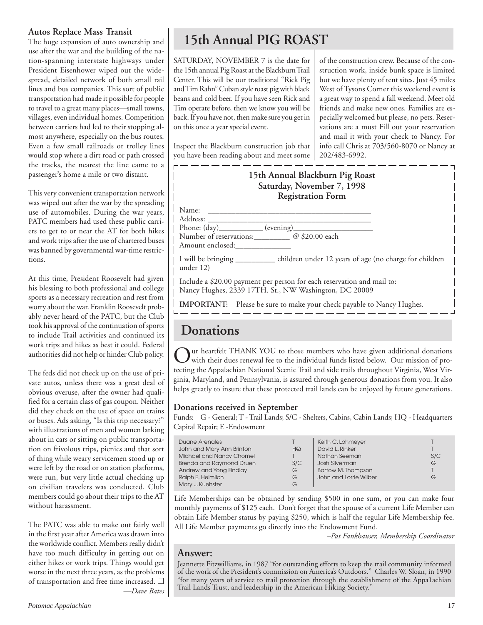### **Autos Replace Mass Transit**

The huge expansion of auto ownership and use after the war and the building of the nation-spanning interstate highways under President Eisenhower wiped out the widespread, detailed network of both small rail lines and bus companies. This sort of public transportation had made it possible for people to travel to a great many places—small towns, villages, even individual homes. Competition between carriers had led to their stopping almost anywhere, especially on the bus routes. Even a few small railroads or trolley lines would stop where a dirt road or path crossed the tracks, the nearest the line came to a passenger's home a mile or two distant.

This very convenient transportation network was wiped out after the war by the spreading use of automobiles. During the war years, PATC members had used these public carriers to get to or near the AT for both hikes and work trips after the use of chartered buses was banned by governmental war-time restrictions.

At this time, President Roosevelt had given his blessing to both professional and college sports as a necessary recreation and rest from worry about the war. Franklin Roosevelt probably never heard of the PATC, but the Club took his approval of the continuation of sports to include Trail activities and continued its work trips and hikes as best it could. Federal authorities did not help or hinder Club policy.

The feds did not check up on the use of private autos, unless there was a great deal of obvious overuse, after the owner had qualified for a certain class of gas coupon. Neither did they check on the use of space on trains or buses. Ads asking, "Is this trip necessary?" with illustrations of men and women larking about in cars or sitting on public transportation on frivolous trips, picnics and that sort of thing while weary servicemen stood up or were left by the road or on station platforms, were run, but very little actual checking up on civilian travelers was conducted. Club members could go about their trips to the AT without harassment.

The PATC was able to make out fairly well in the first year after America was drawn into the worldwide conflict. Members really didn't have too much difficulty in getting out on either hikes or work trips. Things would get worse in the next three years, as the problems of transportation and free time increased. ❑ *—Dave Bates*

# **15th Annual PIG ROAST**

SATURDAY, NOVEMBER 7 is the date for the 15th annual Pig Roast at the Blackburn Trail Center. This will be our traditional "Rick Pig and Tim Rahn" Cuban style roast pig with black beans and cold beer. If you have seen Rick and Tim operate before, then we know you will be back. If you have not, then make sure you get in on this once a year special event.

Inspect the Blackburn construction job that you have been reading about and meet some

of the construction crew. Because of the construction work, inside bunk space is limited but we have plenty of tent sites. Just 45 miles West of Tysons Corner this weekend event is a great way to spend a fall weekend. Meet old friends and make new ones. Families are especially welcomed but please, no pets. Reservations are a must Fill out your reservation and mail it with your check to Nancy. For info call Chris at 703/560-8070 or Nancy at 202/483-6992.



# **Donations**

 $\sum$ ur heartfelt THANK YOU to those members who have given additional donations with their dues renewal fee to the individual funds listed below. Our mission of protecting the Appalachian National Scenic Trail and side trails throughout Virginia, West Virginia, Maryland, and Pennsylvania, is assured through generous donations from you. It also helps greatly to insure that these protected trail lands can be enjoyed by future generations.

### **Donations received in September**

Funds: G - General; T - Trail Lands; S/C - Shelters, Cabins, Cabin Lands; HQ - Headquarters Capital Repair; E -Endowment

| Duane Arenales                  |     | Keith C. Lohmeyer         |     |
|---------------------------------|-----|---------------------------|-----|
| John and Mary Ann Brinton       | HG  | David L. Rinker           |     |
| Michael and Nancy Chomel        |     | Nathan Seeman             | S/C |
| <b>Brenda and Raymond Druen</b> | S/C | Josh Silverman            | G   |
| Andrew and Yong Findlay         | G   | <b>Bartow M. Thompson</b> |     |
| Ralph E. Heimlich               | G   | John and Lorrie Wilber    | G   |
| Mary J. Kuehster                | G   |                           |     |

Life Memberships can be obtained by sending \$500 in one sum, or you can make four monthly payments of \$125 each. Don't forget that the spouse of a current Life Member can obtain Life Member status by paying \$250, which is half the regular Life Membership fee. All Life Member payments go directly into the Endowment Fund.

*–Pat Fankhauser, Membership Coordinator*

# **Answer:**

Jeannette Fitzwilliams, in 1987 "for outstanding efforts to keep the trail community informed of the work of the President's commission on America's Outdoors." Charles W. Sloan, in 1990 "for many years of service to trail protection through the establishment of the Appa1achian Trail Lands Trust, and leadership in the American Hiking Society."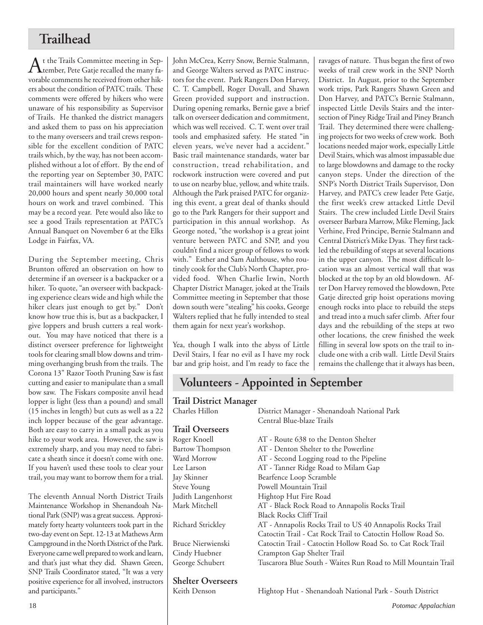# **Trailhead**

At the Trails Committee meeting in Sep-<br>Atember, Pete Gatje recalled the many favorable comments he received from other hikers about the condition of PATC trails. These comments were offered by hikers who were unaware of his responsibility as Supervisor of Trails. He thanked the district managers and asked them to pass on his appreciation to the many overseers and trail crews responsible for the excellent condition of PATC trails which, by the way, has not been accomplished without a lot of effort. By the end of the reporting year on September 30, PATC trail maintainers will have worked nearly 20,000 hours and spent nearly 30,000 total hours on work and travel combined. This may be a record year. Pete would also like to see a good Trails representation at PATC's Annual Banquet on November 6 at the Elks Lodge in Fairfax, VA.

During the September meeting, Chris Brunton offered an observation on how to determine if an overseer is a backpacker or a hiker. To quote, "an overseer with backpacking experience clears wide and high while the hiker clears just enough to get by." Don't know how true this is, but as a backpacker, I give loppers and brush cutters a real workout. You may have noticed that there is a distinct overseer preference for lightweight tools for clearing small blow downs and trimming overhanging brush from the trails. The Corona 13" Razor Tooth Pruning Saw is fast cutting and easier to manipulate than a small bow saw. The Fiskars composite anvil head lopper is light (less than a pound) and small (15 inches in length) but cuts as well as a 22 inch lopper because of the gear advantage. Both are easy to carry in a small pack as you hike to your work area. However, the saw is extremely sharp, and you may need to fabricate a sheath since it doesn't come with one. If you haven't used these tools to clear your trail, you may want to borrow them for a trial.

The eleventh Annual North District Trails Maintenance Workshop in Shenandoah National Park (SNP) was a great success. Approximately forty hearty volunteers took part in the two-day event on Sept. 12-13 at Mathews Arm Campground in the North District of the Park. Everyone came well prepared to work and learn, and that's just what they did. Shawn Green, SNP Trails Coordinator stated, "It was a very positive experience for all involved, instructors and participants."

John McCrea, Kerry Snow, Bernie Stalmann, and George Walters served as PATC instructors for the event. Park Rangers Don Harvey, C. T. Campbell, Roger Dovall, and Shawn Green provided support and instruction. During opening remarks, Bernie gave a brief talk on overseer dedication and commitment, which was well received. C. T. went over trail tools and emphasized safety. He stated "in eleven years, we've never had a accident." Basic trail maintenance standards, water bar construction, tread rehabilitation, and rockwork instruction were covered and put to use on nearby blue, yellow, and white trails. Although the Park praised PATC for organizing this event, a great deal of thanks should go to the Park Rangers for their support and participation in this annual workshop. As George noted, "the workshop is a great joint venture between PATC and SNP, and you couldn't find a nicer group of fellows to work with." Esther and Sam Aulthouse, who routinely cook for the Club's North Chapter, provided food. When Charlie Irwin, North Chapter District Manager, joked at the Trails Committee meeting in September that those down south were "stealing" his cooks, George Walters replied that he fully intended to steal them again for next year's workshop.

Yea, though I walk into the abyss of Little Devil Stairs, I fear no evil as I have my rock bar and grip hoist, and I'm ready to face the

**Shelter Overseers**

ravages of nature. Thus began the first of two weeks of trail crew work in the SNP North District. In August, prior to the September work trips, Park Rangers Shawn Green and Don Harvey, and PATC's Bernie Stalmann, inspected Little Devils Stairs and the intersection of Piney Ridge Trail and Piney Branch Trail. They determined there were challenging projects for two weeks of crew work. Both locations needed major work, especially Little Devil Stairs, which was almost impassable due to large blowdowns and damage to the rocky canyon steps. Under the direction of the SNP's North District Trails Supervisor, Don Harvey, and PATC's crew leader Pete Gatje, the first week's crew attacked Little Devil Stairs. The crew included Little Devil Stairs overseer Barbara Marrow, Mike Fleming, Jack Verhine, Fred Principe, Bernie Stalmann and Central District's Mike Dyas. They first tackled the rebuilding of steps at several locations in the upper canyon. The most difficult location was an almost vertical wall that was blocked at the top by an old blowdown. After Don Harvey removed the blowdown, Pete Gatje directed grip hoist operations moving enough rocks into place to rebuild the steps and tread into a much safer climb. After four days and the rebuilding of the steps at two other locations, the crew finished the week filling in several low spots on the trail to include one with a crib wall. Little Devil Stairs remains the challenge that it always has been,

# **Volunteers - Appointed in September**

| <b>Trail District Manager</b> |                                                               |  |  |
|-------------------------------|---------------------------------------------------------------|--|--|
| Charles Hillon                | District Manager - Shenandoah National Park                   |  |  |
|                               | Central Blue-blaze Trails                                     |  |  |
| <b>Trail Overseers</b>        |                                                               |  |  |
| Roger Knoell                  | AT - Route 638 to the Denton Shelter                          |  |  |
| <b>Bartow Thompson</b>        | AT - Denton Shelter to the Powerline                          |  |  |
| Ward Morrow                   | AT - Second Logging road to the Pipeline                      |  |  |
| Lee Larson                    | AT - Tanner Ridge Road to Milam Gap                           |  |  |
| Jay Skinner                   | Bearfence Loop Scramble                                       |  |  |
| Steve Young                   | Powell Mountain Trail                                         |  |  |
| Judith Langenhorst            | Hightop Hut Fire Road                                         |  |  |
| Mark Mitchell                 | AT - Black Rock Road to Annapolis Rocks Trail                 |  |  |
|                               | <b>Black Rocks Cliff Trail</b>                                |  |  |
| Richard Strickley             | AT - Annapolis Rocks Trail to US 40 Annapolis Rocks Trail     |  |  |
|                               | Catoctin Trail - Cat Rock Trail to Catoctin Hollow Road So.   |  |  |
| Bruce Nierwienski             | Catoctin Trail - Catoctin Hollow Road So. to Cat Rock Trail   |  |  |
| Cindy Huebner                 | Crampton Gap Shelter Trail                                    |  |  |
| George Schubert               | Tuscarora Blue South - Waites Run Road to Mill Mountain Trail |  |  |
|                               |                                                               |  |  |

Hightop Hut - Shenandoah National Park - South District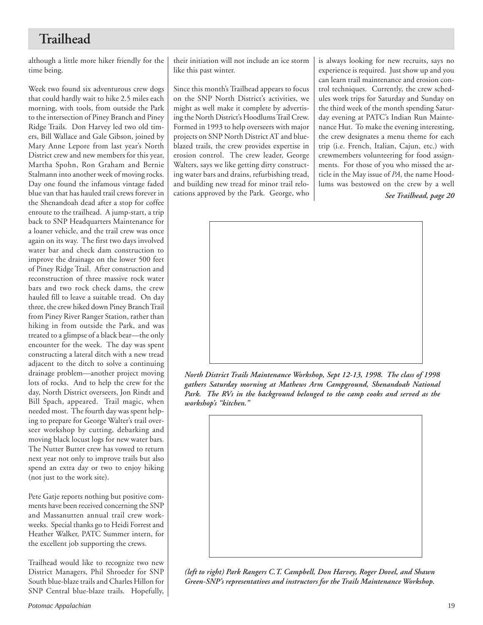# **Trailhead**

although a little more hiker friendly for the time being.

Week two found six adventurous crew dogs that could hardly wait to hike 2.5 miles each morning, with tools, from outside the Park to the intersection of Piney Branch and Piney Ridge Trails. Don Harvey led two old timers, Bill Wallace and Gale Gibson, joined by Mary Anne Lepore from last year's North District crew and new members for this year, Martha Spohn, Ron Graham and Bernie Stalmann into another week of moving rocks. Day one found the infamous vintage faded blue van that has hauled trail crews forever in the Shenandoah dead after a stop for coffee enroute to the trailhead. A jump-start, a trip back to SNP Headquarters Maintenance for a loaner vehicle, and the trail crew was once again on its way. The first two days involved water bar and check dam construction to improve the drainage on the lower 500 feet of Piney Ridge Trail. After construction and reconstruction of three massive rock water bars and two rock check dams, the crew hauled fill to leave a suitable tread. On day three, the crew hiked down Piney Branch Trail from Piney River Ranger Station, rather than hiking in from outside the Park, and was treated to a glimpse of a black bear—the only encounter for the week. The day was spent constructing a lateral ditch with a new tread adjacent to the ditch to solve a continuing drainage problem—another project moving lots of rocks. And to help the crew for the day, North District overseers, Jon Rindt and Bill Spach, appeared. Trail magic, when needed most. The fourth day was spent helping to prepare for George Walter's trail overseer workshop by cutting, debarking and moving black locust logs for new water bars. The Nutter Butter crew has vowed to return next year not only to improve trails but also spend an extra day or two to enjoy hiking (not just to the work site).

Pete Gatje reports nothing but positive comments have been received concerning the SNP and Massanutten annual trail crew workweeks. Special thanks go to Heidi Forrest and Heather Walker, PATC Summer intern, for the excellent job supporting the crews.

Trailhead would like to recognize two new District Managers, Phil Shroeder for SNP South blue-blaze trails and Charles Hillon for SNP Central blue-blaze trails. Hopefully, their initiation will not include an ice storm like this past winter.

Since this month's Trailhead appears to focus on the SNP North District's activities, we might as well make it complete by advertising the North District's Hoodlums Trail Crew. Formed in 1993 to help overseers with major projects on SNP North District AT and blueblazed trails, the crew provides expertise in erosion control. The crew leader, George Walters, says we like getting dirty constructing water bars and drains, refurbishing tread, and building new tread for minor trail relocations approved by the Park. George, who is always looking for new recruits, says no experience is required. Just show up and you can learn trail maintenance and erosion control techniques. Currently, the crew schedules work trips for Saturday and Sunday on the third week of the month spending Saturday evening at PATC's Indian Run Maintenance Hut. To make the evening interesting, the crew designates a menu theme for each trip (i.e. French, Italian, Cajun, etc.) with crewmembers volunteering for food assignments. For those of you who missed the article in the May issue of *PA*, the name Hoodlums was bestowed on the crew by a well

*See Trailhead, page 20*



*North District Trails Maintenance Workshop, Sept 12-13, 1998. The class of 1998 gathers Saturday morning at Mathews Arm Campground, Shenandoah National Park. The RVs in the background belonged to the camp cooks and served as the workshop's "kitchen."*



*(left to right) Park Rangers C.T. Campbell, Don Harvey, Roger Dovel, and Shawn Green-SNP's representatives and instructors for the Trails Maintenance Workshop.*